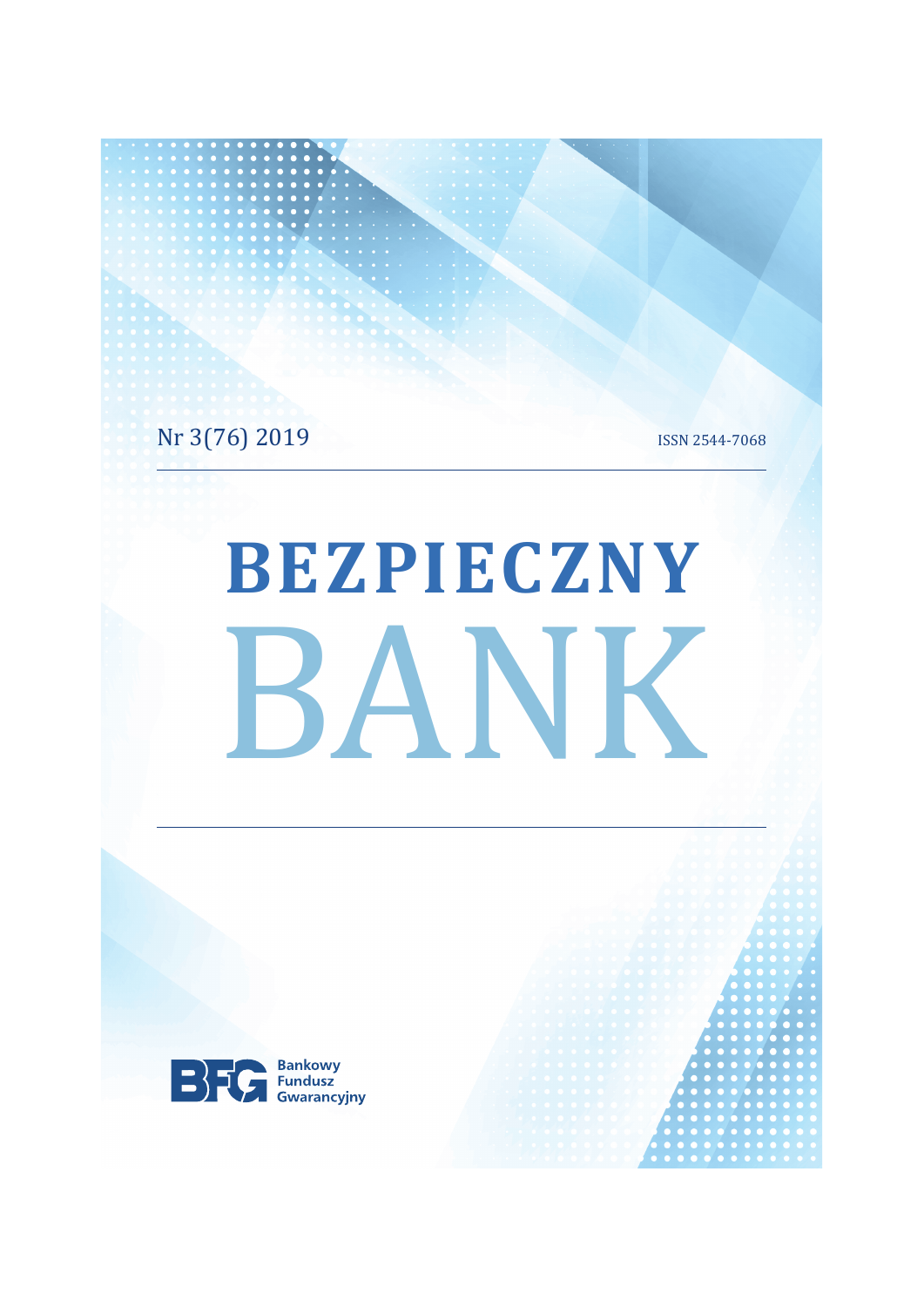Nr 3(76) 2019

ISSN 2544-7068

# BEZPIECZNY BANK

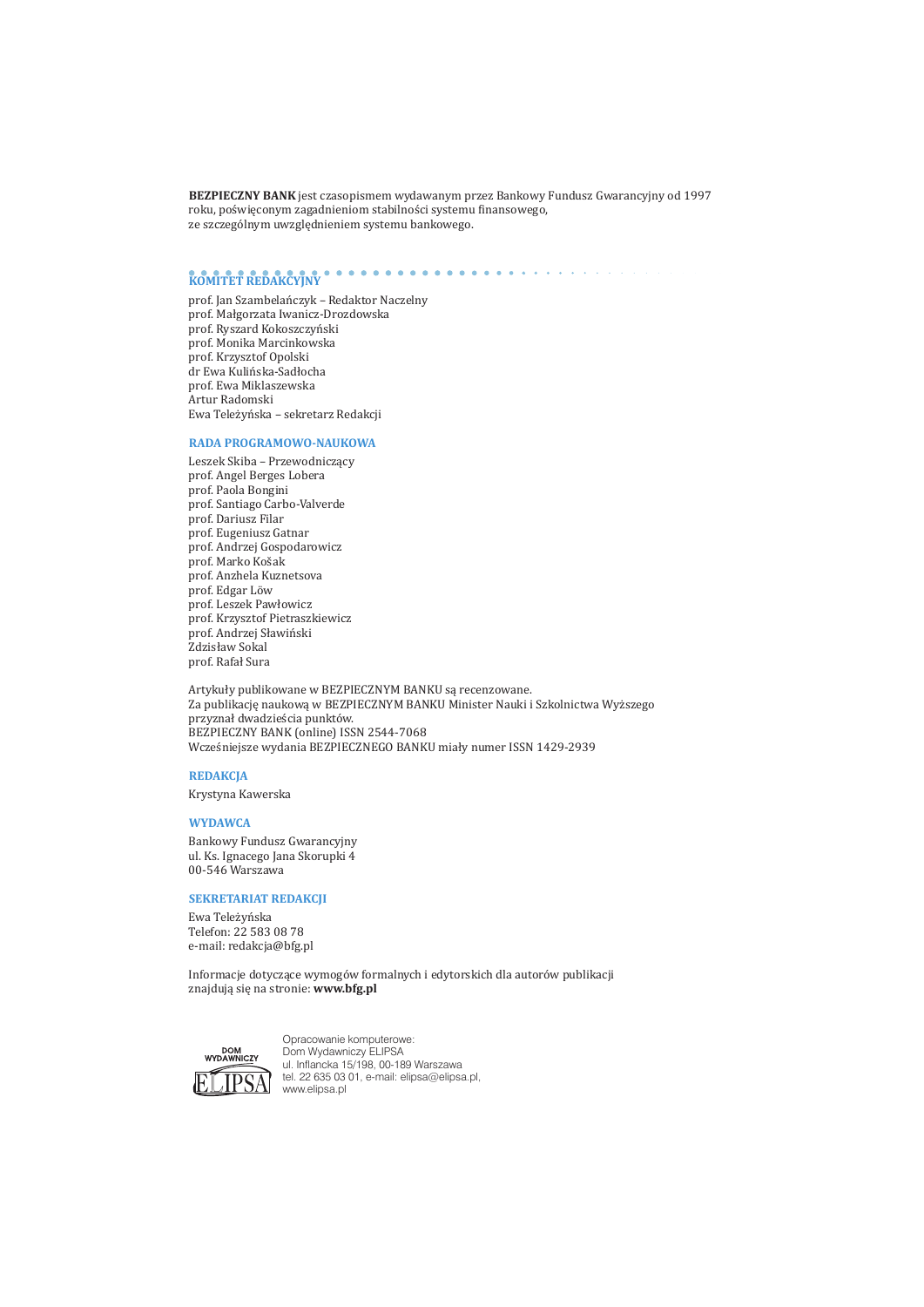BEZPIECZNY BANK jest czasopismem wydawanym przez Bankowy Fundusz Gwarancyjny od 1997 roku, poświęconym zagadnieniom stabilności systemu finansowego, ze szczególnym uwzględnieniem systemu bankowego.

# KOMITET REDAKCYJNY

prof. Jan Szambelańczyk - Redaktor Naczelny prof. Małgorzata Iwanicz-Drozdowska prof. Ryszard Kokoszczyński prof. Monika Marcinkowska prof. Krzysztof Opolski dr Ewa Kulińska-Sadłocha prof. Ewa Miklaszewska Artur Radomski Ewa Teleżyńska - sekretarz Redakcji

#### RADA PROGRAMOWO-NAUKOWA

Leszek Skiba - Przewodniczący prof. Angel Berges Lobera prof. Paola Bongini prof. Santiago Carbo-Valverde prof. Dariusz Filar prof. Eugeniusz Gatnar prof. Andrzej Gospodarowicz prof. Marko Košak prof. Anzhela Kuznetsova prof. Edgar Löw prof. Leszek Pawłowicz prof. Krzysztof Pietraszkiewicz prof. Andrzej Sławiński Zdzisław Sokal prof. Rafał Sura

Artykuły publikowane w BEZPIECZNYM BANKU są recenzowane. Za publikację naukową w BEZPIECZNYM BANKU Minister Nauki i Szkolnictwa Wyższego przyznał dwadzieścia punktów. BEZPIECZNY BANK (online) ISSN 2544-7068 Wcześniejsze wydania BEZPIECZNEGO BANKU miały numer ISSN 1429-2939

#### **REDAKCJA**

Krystyna Kawerska

#### **WYDAWCA**

Bankowy Fundusz Gwarancyjny ul. Ks. Ignacego Jana Skorupki 4 00-546 Warszawa

#### **SEKRETARIAT REDAKCII**

Ewa Teleżyńska Telefon: 22 583 08 78 e-mail: redakcia@bfg.pl

Informacje dotyczące wymogów formalnych i edytorskich dla autorów publikacji znajdują się na stronie: www.bfg.pl



Opracowanie komputerowe:<br>Dom Wydawniczy ELIPSA<br>ul. Inflancka 15/198, 00-189 Warszawa tel. 22 635 03 01, e-mail: elipsa@elipsa.pl, www.elipsa.pl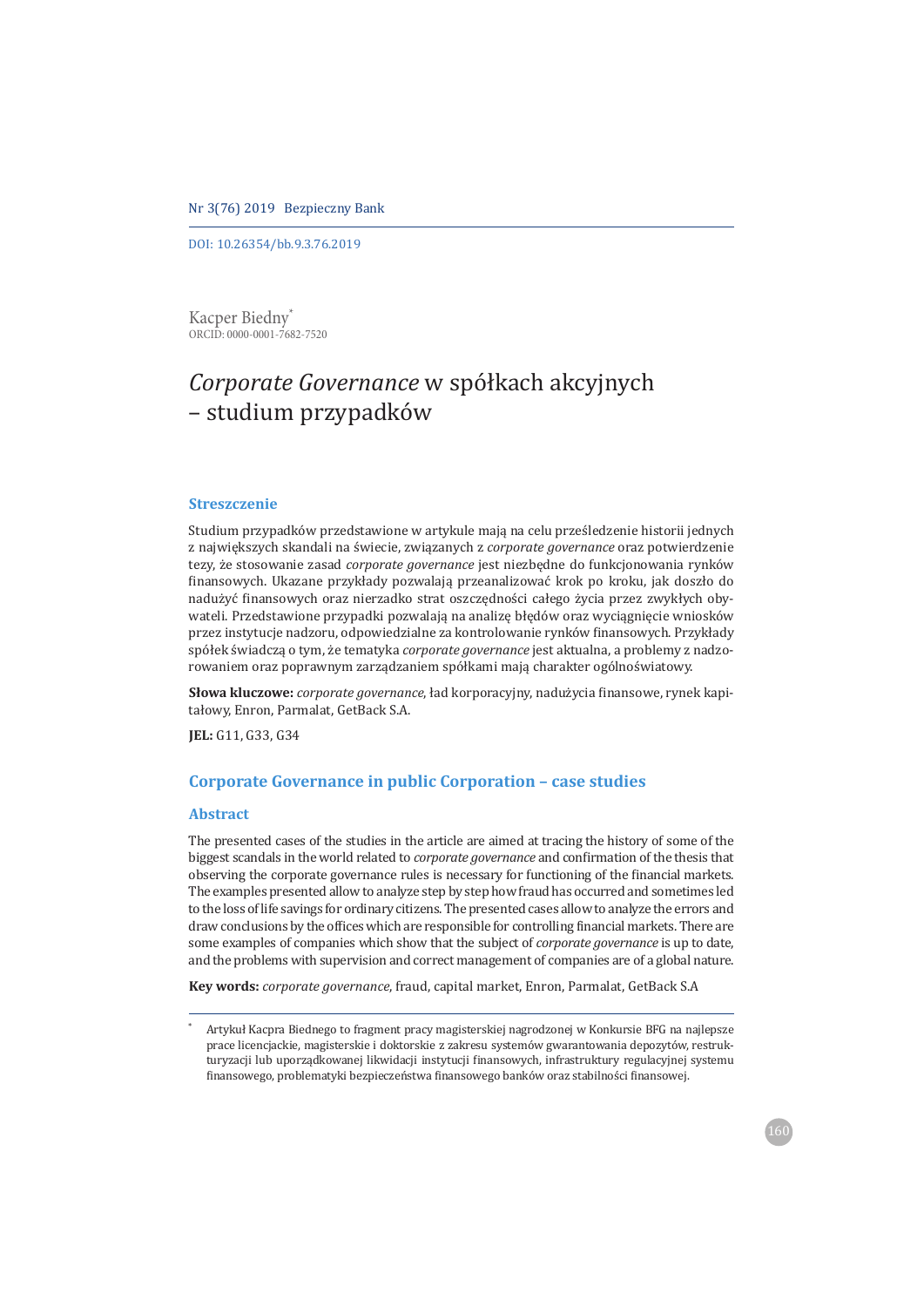DOI: 10.26354/bb.9.3.76.2019

Kacper Biedny<sup>\*</sup> ORCID: 0000-0001-7682-7520

# Corporate Governance w spółkach akcyjnych - studium przypadków

#### **Streszczenie**

Studium przypadków przedstawione w artykule mają na celu prześledzenie historii jednych z największych skandali na świecie, związanych z corporate governance oraz potwierdzenie tezy, że stosowanie zasad corporate governance jest niezbędne do funkcjonowania rynków finansowych. Ukazane przykłady pozwalają przeanalizować krok po kroku, jak doszło do nadużyć finansowych oraz nierzadko strat oszczędności całego życia przez zwykłych obywateli. Przedstawione przypadki pozwalają na analizę błędów oraz wyciągnięcie wniosków przez instytucje nadzoru, odpowiedzialne za kontrolowanie rynków finansowych. Przykłady spółek świadczą o tym, że tematyka corporate governance jest aktualna, a problemy z nadzorowaniem oraz poprawnym zarządzaniem spółkami mają charakter ogólnoświatowy.

Słowa kluczowe: *corporate governance*, ład korporacyjny, nadużycia finansowe, rynek kapitałowy, Enron, Parmalat, GetBack S.A.

JEL: G11, G33, G34

#### **Corporate Governance in public Corporation - case studies**

#### **Abstract**

The presented cases of the studies in the article are aimed at tracing the history of some of the biggest scandals in the world related to *corporate governance* and confirmation of the thesis that observing the corporate governance rules is necessary for functioning of the financial markets. The examples presented allow to analyze step by step how fraud has occurred and sometimes led to the loss of life savings for ordinary citizens. The presented cases allow to analyze the errors and draw conclusions by the offices which are responsible for controlling financial markets. There are some examples of companies which show that the subject of *corporate governance* is up to date, and the problems with supervision and correct management of companies are of a global nature.

Key words: corporate governance, fraud, capital market, Enron, Parmalat, GetBack S.A

Artykuł Kacpra Biednego to fragment pracy magisterskiej nagrodzonej w Konkursie BFG na najlepsze prace licencjackie, magisterskie i doktorskie z zakresu systemów gwarantowania depozytów, restrukturyzacji lub uporządkowanej likwidacji instytucji finansowych, infrastruktury regulacyjnej systemu finansowego, problematyki bezpieczeństwa finansowego banków oraz stabilności finansowej.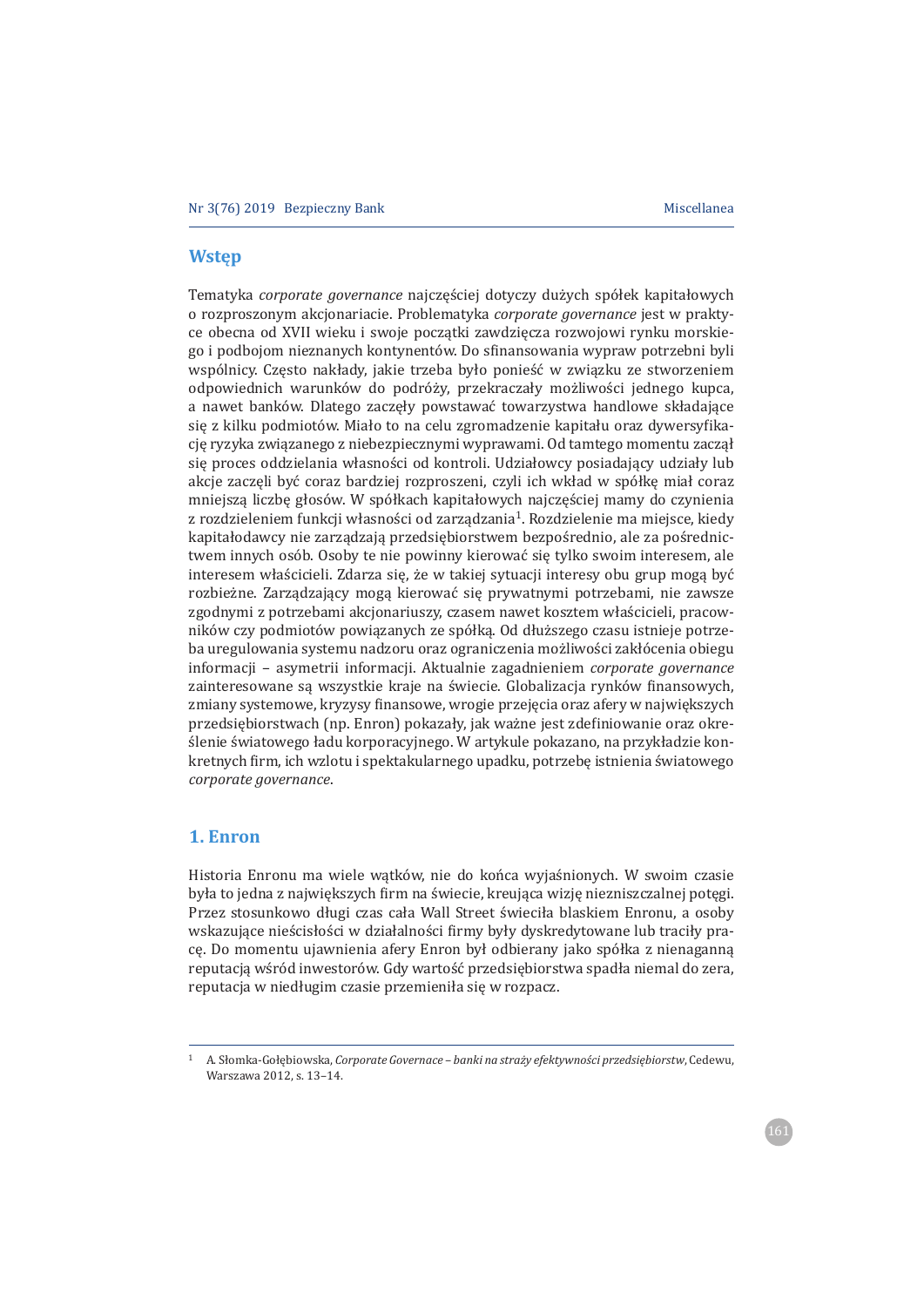#### **Wstep**

Tematyka corporate governance najczęściej dotyczy dużych spółek kapitałowych o rozproszonym akcjonariacie. Problematyka corporate governance jest w praktyce obecna od XVII wieku i swoje poczatki zawdziecza rozwojowi rynku morskiego i podbojom nieznanych kontynentów. Do sfinansowania wypraw potrzebni byli wspólnicy. Czesto nakłady, jakie trzeba było ponieść w związku ze stworzeniem odpowiednich warunków do podróży, przekraczały możliwości jednego kupca, a nawet banków. Dlatego zaczęły powstawać towarzystwa handlowe składające się z kilku podmiotów. Miało to na celu zgromadzenie kapitału oraz dywersyfikacje ryzyka związanego z niebezpiecznymi wyprawami. Od tamtego momentu zaczał się proces oddzielania własności od kontroli. Udziałowcy posiadający udziały lub akcje zaczęli być coraz bardziej rozproszeni, czyli ich wkład w spółkę miał coraz mniejszą liczbę głosów. W spółkach kapitałowych najczęściej mamy do czynienia z rozdzieleniem funkcji własności od zarządzania<sup>1</sup>. Rozdzielenie ma miejsce, kiedy kapitałodawcy nie zarządzają przedsiebiorstwem bezpośrednio, ale za pośrednictwem innych osób. Osoby te nie powinny kierować sie tylko swoim interesem, ale interesem właścicieli. Zdarza się, że w takiej sytuacji interesy obu grup mogą być rozbieżne. Zarządzający mogą kierować się prywatnymi potrzebami, nie zawsze zgodnymi z potrzebami akcjonariuszy, czasem nawet kosztem właścicieli, pracowników czy podmiotów powiązanych ze spółką. Od dłuższego czasu istnieje potrzeba uregulowania systemu nadzoru oraz ograniczenia możliwości zakłócenia obiegu informacji - asymetrii informacji. Aktualnie zagadnieniem corporate governance zainteresowane są wszystkie kraje na świecie. Globalizacja rynków finansowych, zmiany systemowe, kryzysy finansowe, wrogie przejęcia oraz afery w największych przedsiębiorstwach (np. Enron) pokazały, jak ważne jest zdefiniowanie oraz określenie światowego ładu korporacyjnego. W artykule pokazano, na przykładzie konkretnych firm, ich wzlotu i spektakularnego upadku, potrzebe istnienia światowego corporate governance.

## 1. Enron

Historia Enronu ma wiele watków, nie do końca wyjaśnionych. W swoim czasie była to jedna z największych firm na świecie, kreująca wizję niezniszczalnej potęgi. Przez stosunkowo długi czas cała Wall Street świeciła blaskiem Enronu, a osoby wskazujące nieścisłości w działalności firmy były dyskredytowane lub traciły prace. Do momentu ujawnienia afery Enron był odbierany jako spółka z nienaganną reputacją wśród inwestorów. Gdy wartość przedsiębiorstwa spadła niemal do zera, reputacja w niedługim czasie przemieniła się w rozpacz.

A. Słomka-Gołębiowska, Corporate Governace – banki na straży efektywności przedsiębiorstw, Cedewu, Warszawa 2012, s. 13-14.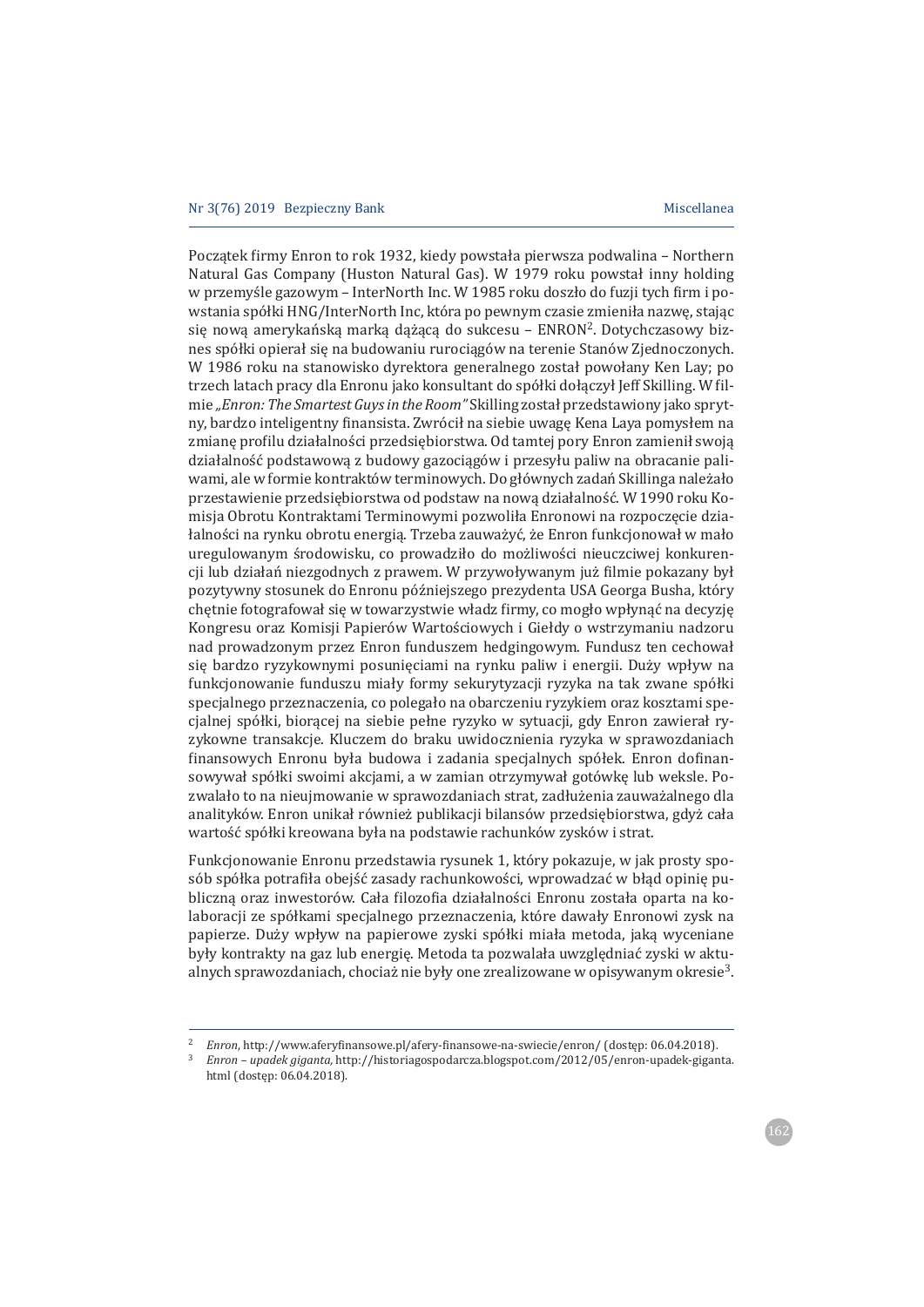Początek firmy Enron to rok 1932, kiedy powstała pierwsza podwalina – Northern Natural Gas Company (Huston Natural Gas). W 1979 roku powstał inny holding w przemyśle gazowym – InterNorth Inc. W 1985 roku doszło do fuzji tych firm i powstania spółki HNG/InterNorth Inc, która po pewnym czasie zmieniła nazwę, stając się nową amerykańską marką dążącą do sukcesu - ENRON<sup>2</sup>. Dotychczasowy biznes spółki opierał się na budowaniu rurociągów na terenie Stanów Zjednoczonych. W 1986 roku na stanowisko dyrektora generalnego został powołany Ken Lay; po trzech latach pracy dla Enronu jako konsultant do spółki dołączył Jeff Skilling. W filmie "Enron: The Smartest Guys in the Room" Skilling został przedstawiony jako sprytny, bardzo inteligentny finansista. Zwrócił na siebie uwagę Kena Laya pomysłem na zmianę profilu działalności przedsiębiorstwa. Od tamtej pory Enron zamienił swoją działalność podstawową z budowy gazociągów i przesyłu paliw na obracanie paliwami, ale w formie kontraktów terminowych. Do głównych zadań Skillinga należało przestawienie przedsiębiorstwa od podstaw na nową działalność. W 1990 roku Komisja Obrotu Kontraktami Terminowymi pozwoliła Enronowi na rozpoczęcie działalności na rynku obrotu energią. Trzeba zauważyć, że Enron funkcjonował w mało uregulowanym środowisku, co prowadziło do możliwości nieuczciwej konkurencji lub działań niezgodnych z prawem. W przywoływanym już filmie pokazany był pozytywny stosunek do Enronu późniejszego prezydenta USA Georga Busha, który chetnie fotografował się w towarzystwie władz firmy, co mogło wpłynać na decyzje Kongresu oraz Komisji Papierów Wartościowych i Giełdy o wstrzymaniu nadzoru nad prowadzonym przez Enron funduszem hedgingowym. Fundusz ten cechował się bardzo ryzykownymi posunięciami na rynku paliw i energii. Duży wpływ na funkcjonowanie funduszu miały formy sekurytyzacji ryzyka na tak zwane spółki specjalnego przeznaczenia, co polegało na obarczeniu ryzykiem oraz kosztami specjalnej spółki, biorącej na siebie pełne ryzyko w sytuacji, gdy Enron zawierał ryzykowne transakcje. Kluczem do braku uwidocznienia ryzyka w sprawozdaniach finansowych Enronu była budowa i zadania specjalnych spółek. Enron dofinansowywał spółki swoimi akcjami, a w zamian otrzymywał gotówkę lub weksle. Pozwalało to na nieujmowanie w sprawozdaniach strat, zadłużenia zauważalnego dla analityków. Enron unikał również publikacji bilansów przedsiębiorstwa, gdyż cała wartość spółki kreowana była na podstawie rachunków zysków i strat.

Funkcjonowanie Enronu przedstawia rysunek 1, który pokazuje, w jak prosty sposób spółka potrafiła obejść zasady rachunkowości, wprowadzać w błąd opinię publiczną oraz inwestorów. Cała filozofia działalności Enronu została oparta na kolaboracji ze spółkami specjalnego przeznaczenia, które dawały Enronowi zysk na papierze. Duży wpływ na papierowe zyski spółki miała metoda, jaką wyceniane były kontrakty na gaz lub energię. Metoda ta pozwalała uwzględniać zyski w aktualnych sprawozdaniach, chociaż nie były one zrealizowane w opisywanym okresie<sup>3</sup>.

 $3$  Enron – upadek giganta, http://historiagospodarcza.blogspot.com/2012/05/enron-upadek-giganta. html (dostęp: 06.04.2018).

<sup>&</sup>lt;sup>2</sup> Enron, http://www.aferyfinansowe.pl/afery-finansowe-na-swiecie/enron/ (dostęp: 06.04.2018).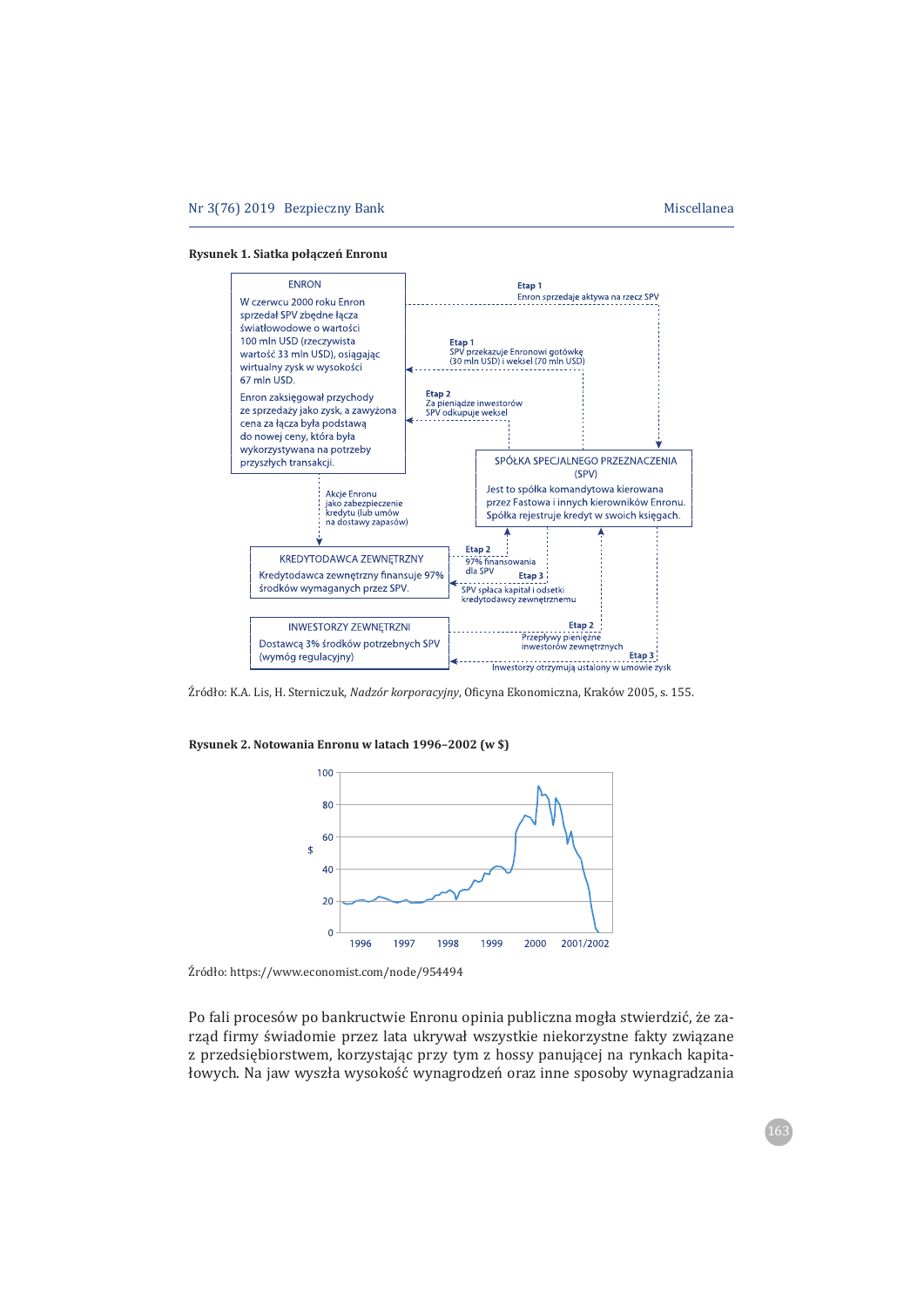



Źródło: K.A. Lis, H. Sterniczuk, Nadzór korporacyjny, Oficyna Ekonomiczna, Kraków 2005, s. 155.

**Rysunek 2. Notowania Enronu w latach 1996–2002 (w \$)**



Źródło: https://www.economist.com/node/954494

Po fali procesów po bankructwie Enronu opinia publiczna mogła stwierdzić, że zarząd firmy świadomie przez lata ukrywał wszystkie niekorzystne fakty związane z przedsiębiorstwem, korzystając przy tym z hossy panującej na rynkach kapitałowych. Na jaw wyszła wysokość wynagrodzeń oraz inne sposoby wynagradzania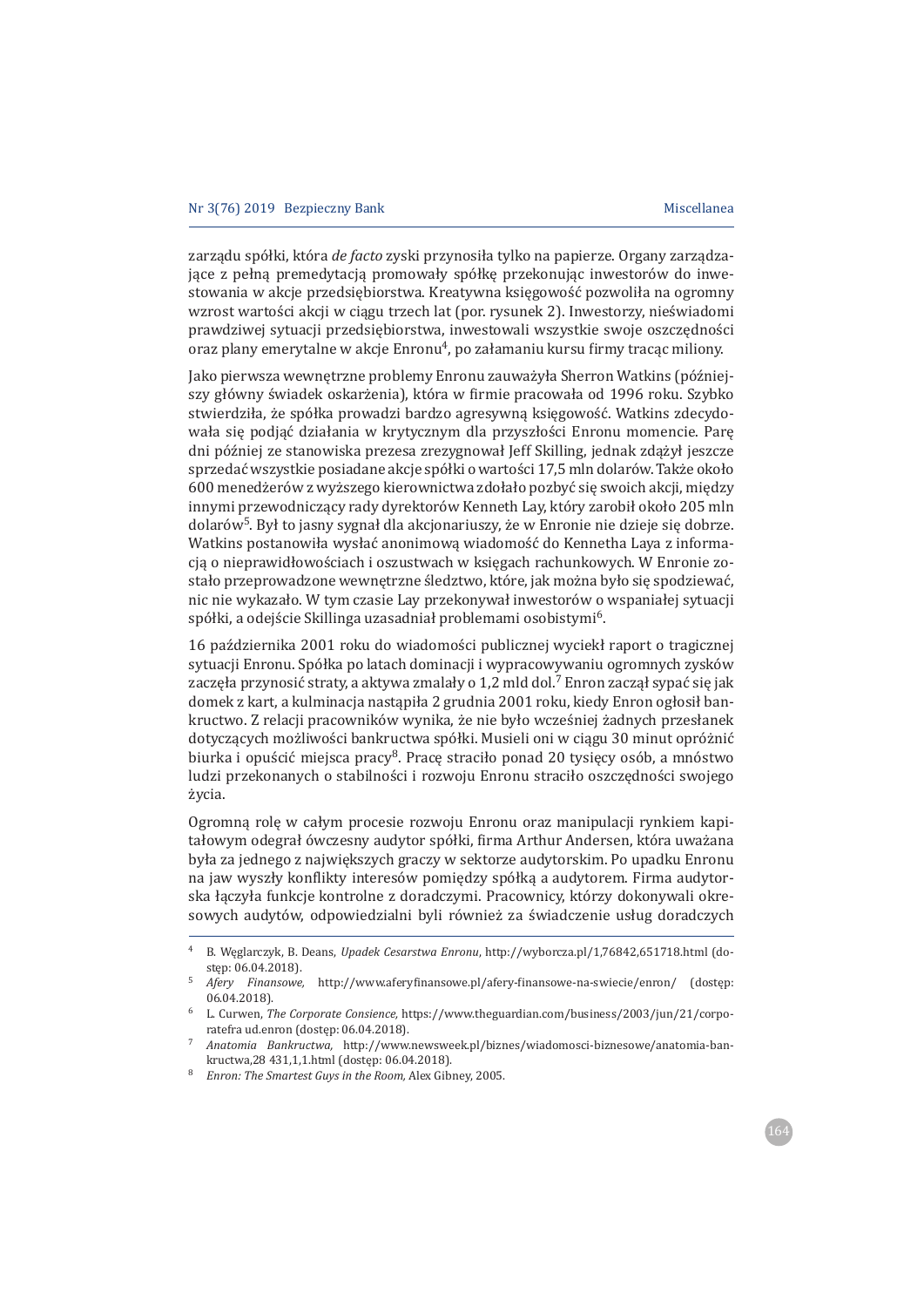zarządu spółki, która de facto zyski przynosiła tylko na papierze. Organy zarządzajace z pełna premedytacja promowały spółke przekonując inwestorów do inwestowania w akcje przedsiębiorstwa. Kreatywna księgowość pozwoliła na ogromny wzrost wartości akcji w ciągu trzech lat (por. rysunek 2). Inwestorzy, nieświadomi prawdziwej sytuacji przedsiębiorstwa, inwestowali wszystkie swoje oszczędności oraz plany emerytalne w akcje Enronu<sup>4</sup>, po załamaniu kursu firmy tracąc miliony.

Jako pierwsza wewnętrzne problemy Enronu zauważyła Sherron Watkins (późniejszy główny świadek oskarżenia), która w firmie pracowała od 1996 roku. Szybko stwierdziła, że spółka prowadzi bardzo agresywną księgowość. Watkins zdecydowała się podjąć działania w krytycznym dla przyszłości Enronu momencie. Parę dni później ze stanowiska prezesa zrezygnował Jeff Skilling, jednak zdażył jeszcze sprzedać wszystkie posiadane akcje spółki o wartości 17,5 mln dolarów. Także około 600 menedżerów z wyższego kierownictwa zdołało pozbyć się swoich akcji, między innymi przewodniczący rady dyrektorów Kenneth Lay, który zarobił około 205 mln dolarów<sup>5</sup>. Był to jasny sygnał dla akcjonariuszy, że w Enronie nie dzieje się dobrze. Watkins postanowiła wysłać anonimową wiadomość do Kennetha Laya z informacją o nieprawidłowościach i oszustwach w księgach rachunkowych. W Enronie zostało przeprowadzone wewnętrzne śledztwo, które, jak można było się spodziewać, nic nie wykazało. W tym czasie Lay przekonywał inwestorów o wspaniałej sytuacji spółki, a odejście Skillinga uzasadniał problemami osobistymi<sup>6</sup>.

16 października 2001 roku do wiadomości publicznej wyciekł raport o tragicznej sytuacji Enronu. Spółka po latach dominacji i wypracowywaniu ogromnych zysków zaczęła przynosić straty, a aktywa zmalały o 1,2 mld dol.<sup>7</sup> Enron zaczął sypać się jak domek z kart, a kulminacja nastąpiła 2 grudnia 2001 roku, kiedy Enron ogłosił bankructwo. Z relacji pracowników wynika, że nie było wcześniej żadnych przesłanek dotyczących możliwości bankructwa spółki. Musieli oni w ciągu 30 minut opróżnić biurka i opuścić miejsca pracy<sup>8</sup>. Prace straciło ponad 20 tysiecy osób, a mnóstwo ludzi przekonanych o stabilności i rozwoju Enronu straciło oszczędności swojego życia.

Ogromną rolę w całym procesie rozwoju Enronu oraz manipulacji rynkiem kapitałowym odegrał ówczesny audytor spółki, firma Arthur Andersen, która uważana była za jednego z największych graczy w sektorze audytorskim. Po upadku Enronu na jaw wyszły konflikty interesów pomiędzy spółką a audytorem. Firma audytorska łączyła funkcje kontrolne z doradczymi. Pracownicy, którzy dokonywali okresowych audytów, odpowiedzialni byli również za świadczenie usług doradczych

B. Weglarczyk, B. Deans, Upadek Cesarstwa Enronu, http://wyborcza.pl/1,76842,651718.html (dostep: 06.04.2018).

<sup>5</sup> Afery Finansowe, http://www.aferyfinansowe.pl/afery-finansowe-na-swiecie/enron/ (dostęp: 06.04.2018).

<sup>&</sup>lt;sup>6</sup> L. Curwen, *The Corporate Consience*, https://www.theguardian.com/business/2003/jun/21/corporatefra ud.enron (dostep: 06.04.2018).

Anatomia Bankructwa, http://www.newsweek.pl/biznes/wiadomosci-biznesowe/anatomia-bankructwa, 28 431, 1, 1. html (dostęp: 06.04.2018).

<sup>&</sup>lt;sup>8</sup> Enron: The Smartest Guys in the Room, Alex Gibney, 2005.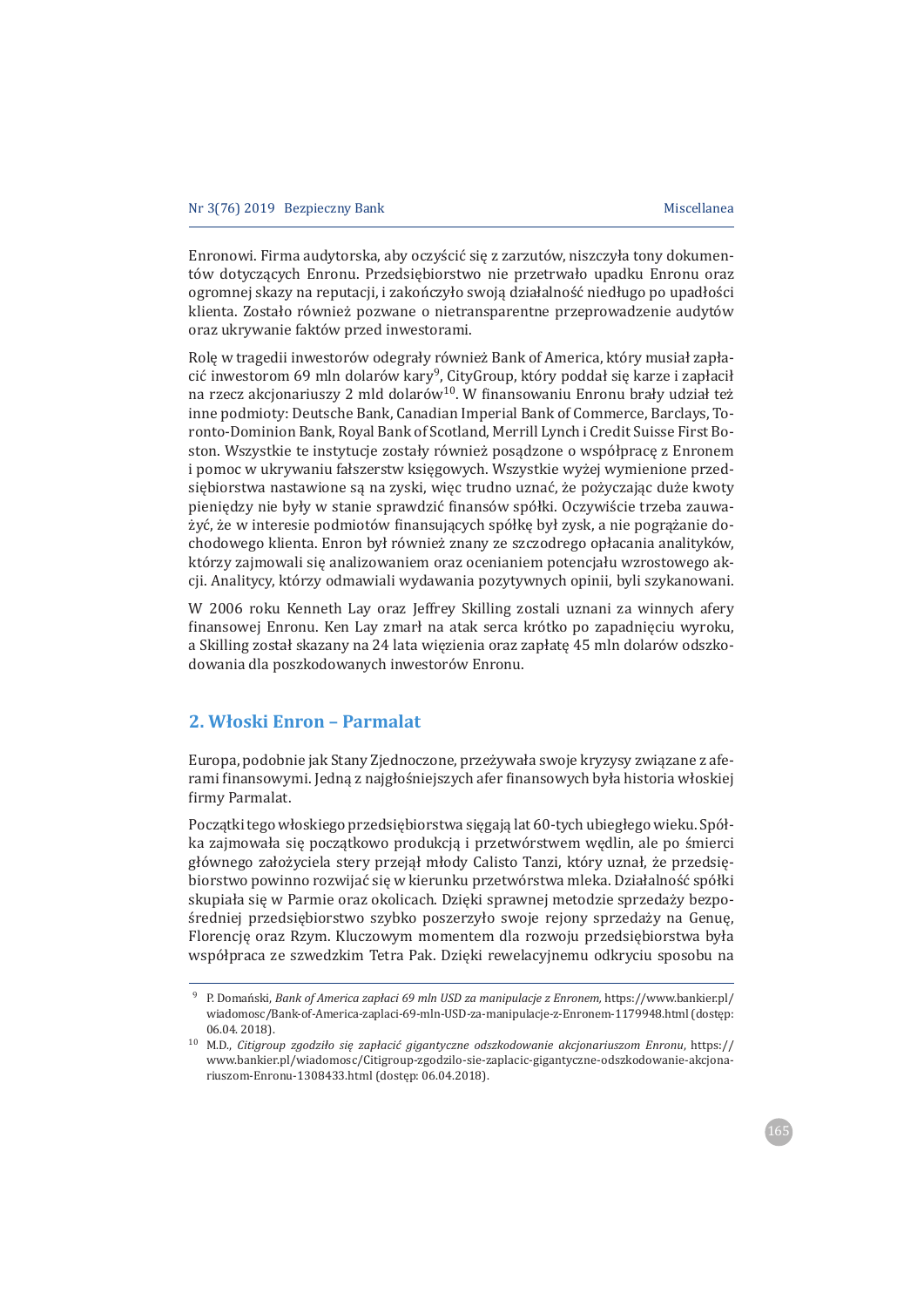Enronowi. Firma audytorska, aby oczyścić się z zarzutów, niszczyła tony dokumentów dotyczących Enronu. Przedsiebiorstwo nie przetrwało upadku Enronu oraz ogromnej skazy na reputacji, i zakończyło swoją działalność niedługo po upadłości klienta. Zostało również pozwane o nietransparentne przeprowadzenie audytów oraz ukrywanie faktów przed inwestorami.

Rolę w tragedii inwestorów odegrały również Bank of America, który musiał zapłacić inwestorom 69 mln dolarów kary<sup>9</sup>, CityGroup, który poddał się karze i zapłacił na rzecz akcjonariuszy 2 mld dolarów<sup>10</sup>. W finansowaniu Enronu brały udział też inne podmioty: Deutsche Bank, Canadian Imperial Bank of Commerce, Barclays, Toronto-Dominion Bank, Royal Bank of Scotland, Merrill Lynch i Credit Suisse First Boston. Wszystkie te instytucje zostały również posądzone o współpracę z Enronem i pomoc w ukrywaniu fałszerstw księgowych. Wszystkie wyżej wymienione przedsiębiorstwa nastawione są na zyski, więc trudno uznać, że pożyczając duże kwoty pieniędzy nie były w stanie sprawdzić finansów spółki. Oczywiście trzeba zauważyć, że w interesie podmiotów finansujących spółkę był zysk, a nie pogrążanie dochodowego klienta. Enron był również znany ze szczodrego opłacania analityków, którzy zajmowali się analizowaniem oraz ocenianiem potencjału wzrostowego akcji. Analitycy, którzy odmawiali wydawania pozytywnych opinii, byli szykanowani.

W 2006 roku Kenneth Lay oraz Jeffrey Skilling zostali uznani za winnych afery finansowej Enronu. Ken Lay zmarł na atak serca krótko po zapadnieciu wyroku, a Skilling został skazany na 24 lata więzienia oraz zapłatę 45 mln dolarów odszkodowania dla poszkodowanych inwestorów Enronu.

## 2. Włoski Enron - Parmalat

Europa, podobnie jak Stany Zjednoczone, przeżywała swoje kryzysy związane z aferami finansowymi. Jedną z najgłośniejszych afer finansowych była historia włoskiej firmy Parmalat.

Początki tego włoskiego przedsiębiorstwa sięgają lat 60-tych ubiegłego wieku. Spółka zajmowała się początkowo produkcją i przetwórstwem wędlin, ale po śmierci głównego założyciela stery przejał młody Calisto Tanzi, który uznał, że przedsiebiorstwo powinno rozwijać się w kierunku przetwórstwa mleka. Działalność spółki skupiała się w Parmie oraz okolicach. Dzięki sprawnej metodzie sprzedaży bezpośredniej przedsiębiorstwo szybko poszerzyło swoje rejony sprzedaży na Genuę, Florencje oraz Rzym. Kluczowym momentem dla rozwoju przedsiebiorstwa była współpraca ze szwedzkim Tetra Pak. Dzięki rewelacyjnemu odkryciu sposobu na

<sup>&</sup>lt;sup>9</sup> P. Domański, *Bank of America zapłaci 69 mln USD za manipulacje z Enronem, https://www.bankier.pl/* wiadomosc/Bank-of-America-zaplaci-69-mln-USD-za-manipulacje-z-Enronem-1179948.html (dostęp: 06.04.2018).

 $10$  M.D., Citigroup zgodziło się zapłacić gigantyczne odszkodowanie akcjonariuszom Enronu, https:// www.bankier.pl/wiadomosc/Citigroup-zgodzilo-sie-zaplacic-gigantyczne-odszkodowanie-akcjonariuszom-Enronu-1308433.html (dostęp: 06.04.2018).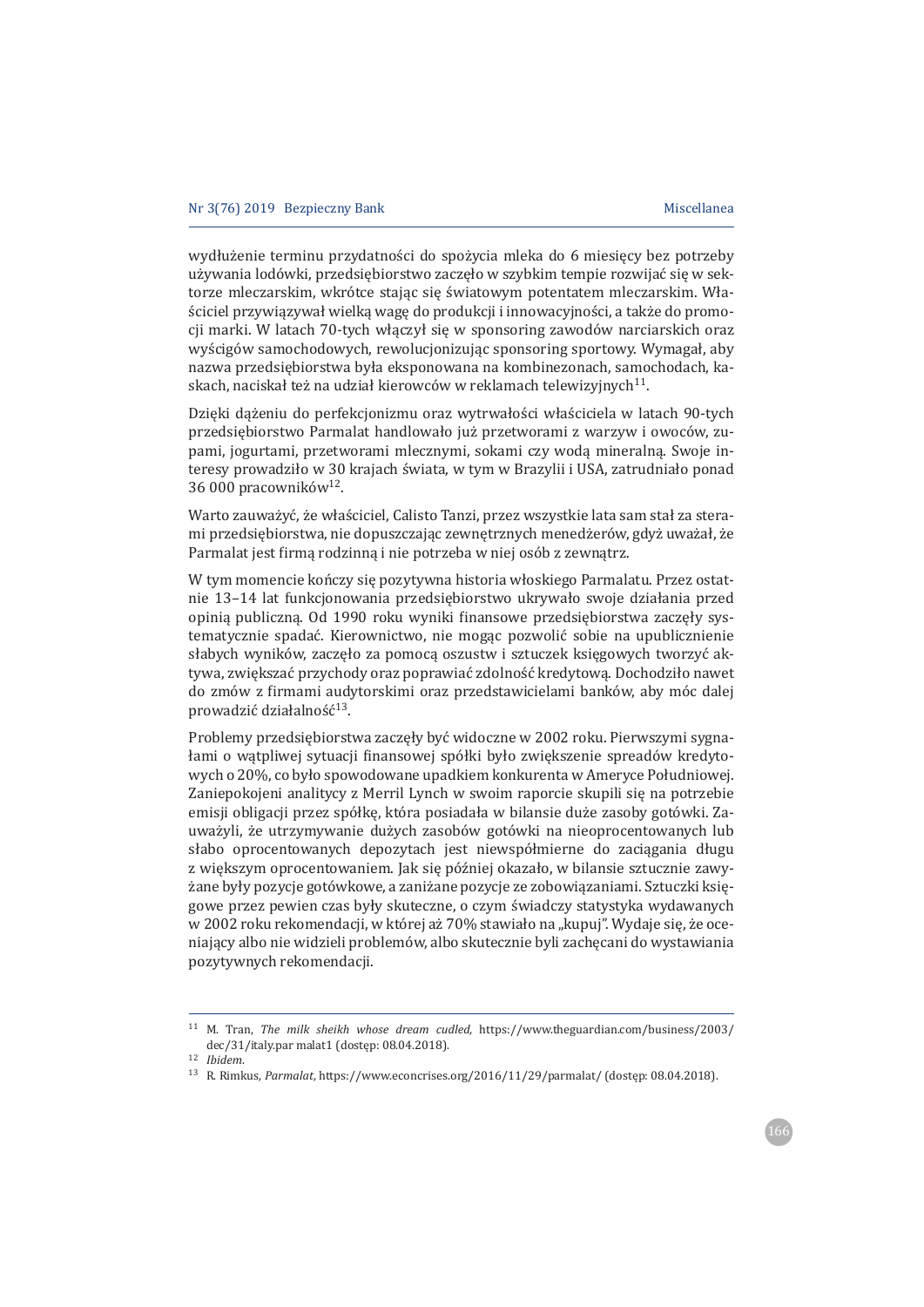wydłużenie terminu przydatności do spożycia mleka do 6 miesięcy bez potrzeby używania lodówki, przedsiębiorstwo zaczeło w szybkim tempie rozwijać się w sektorze mleczarskim, wkrótce stając się światowym potentatem mleczarskim. Właściciel przywiązywał wielką wagę do produkcji i innowacyjności, a także do promocji marki. W latach 70-tych włączył się w sponsoring zawodów narciarskich oraz wyścigów samochodowych, rewolucjonizując sponsoring sportowy. Wymagał, aby nazwa przedsiebiorstwa była eksponowana na kombinezonach, samochodach, kaskach, naciskał też na udział kierowców w reklamach telewizyjnych<sup>11</sup>.

Dzięki dążeniu do perfekcjonizmu oraz wytrwałości właściciela w latach 90-tych przedsiębiorstwo Parmalat handlowało już przetworami z warzyw i owoców, zupami, jogurtami, przetworami mlecznymi, sokami czy wodą mineralną. Swoje interesy prowadziło w 30 krajach świata, w tym w Brazylii i USA, zatrudniało ponad 36 000 pracowników<sup>12</sup>.

Warto zauważyć, że właściciel, Calisto Tanzi, przez wszystkie lata sam stał za sterami przedsiębiorstwa, nie dopuszczając zewnętrznych menedżerów, gdyż uważał, że Parmalat jest firmą rodzinną i nie potrzeba w niej osób z zewnątrz.

W tym momencie kończy się pozytywna historia włoskiego Parmalatu. Przez ostatnie 13–14 lat funkcjonowania przedsiębiorstwo ukrywało swoje działania przed opinią publiczną. Od 1990 roku wyniki finansowe przedsiębiorstwa zaczęły systematycznie spadać. Kierownictwo, nie mogąc pozwolić sobie na upublicznienie słabych wyników, zaczęło za pomocą oszustw i sztuczek księgowych tworzyć aktywa, zwiększać przychody oraz poprawiać zdolność kredytową. Dochodziło nawet do zmów z firmami audytorskimi oraz przedstawicielami banków, aby móc dalej prowadzić działalność<sup>13</sup>.

Problemy przedsiębiorstwa zaczęły być widoczne w 2002 roku. Pierwszymi sygnałami o wątpliwej sytuacji finansowej spółki było zwiększenie spreadów kredytowych o 20%, co było spowodowane upadkiem konkurenta w Ameryce Południowej. Zaniepokojeni analitycy z Merril Lynch w swoim raporcie skupili sie na potrzebie emisji obligacji przez spółkę, która posiadała w bilansie duże zasoby gotówki. Zauważyli, że utrzymywanie dużych zasobów gotówki na nieoprocentowanych lub słabo oprocentowanych depozytach jest niewspółmierne do zaciagania długu z większym oprocentowaniem. Jak się później okazało, w bilansie sztucznie zawyżane były pozycje gotówkowe, a zaniżane pozycje ze zobowiązaniami. Sztuczki księgowe przez pewien czas były skuteczne, o czym świadczy statystyka wydawanych w 2002 roku rekomendacji, w której aż 70% stawiało na "kupuj". Wydaje się, że oceniający albo nie widzieli problemów, albo skutecznie byli zachęcani do wystawiania pozytywnych rekomendacji.

<sup>&</sup>lt;sup>11</sup> M. Tran, *The milk sheikh whose dream cudled*, https://www.theguardian.com/business/2003/ dec/31/italy.par malat1 (dostęp: 08.04.2018).

 $12$  Ibidem.

<sup>&</sup>lt;sup>13</sup> R. Rimkus, Parmalat, https://www.econcrises.org/2016/11/29/parmalat/ (dostęp: 08.04.2018).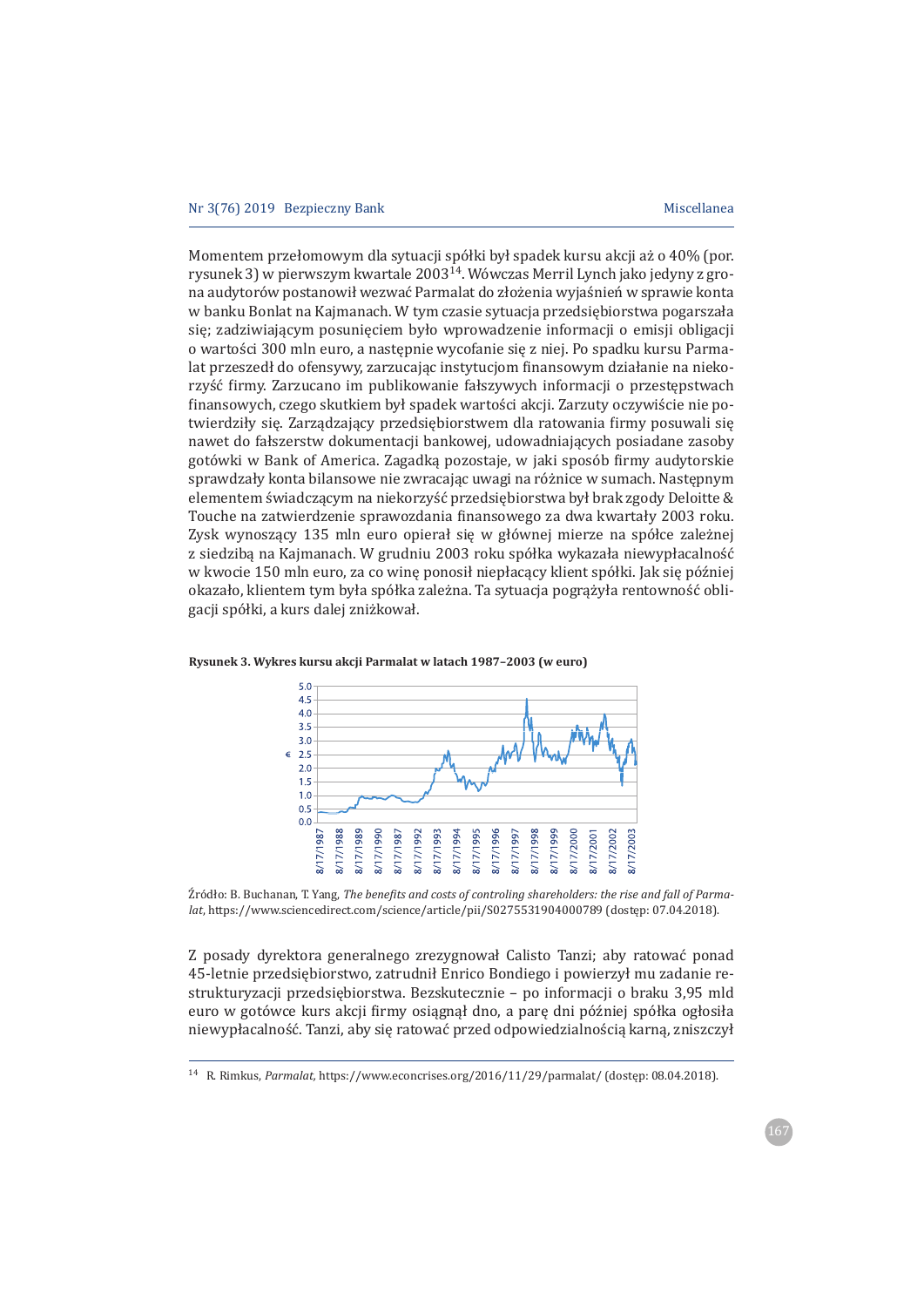Momentem przełomowym dla sytuacji spółki był spadek kursu akcji aż o 40% (por. rysunek 3) w pierwszym kwartale  $2003^{14}$ . Wówczas Merril Lynch jako jedyny z grona audytorów postanowił wezwać Parmalat do złożenia wyjaśnień w sprawie konta w banku Bonlat na Kajmanach. W tym czasie sytuacja przedsiębiorstwa pogarszała się; zadziwiającym posunięciem było wprowadzenie informacji o emisji obligacji o wartości 300 mln euro, a następnie wycofanie się z niej. Po spadku kursu Parmalat przeszedł do ofensywy, zarzucając instytucjom finansowym działanie na niekorzyść firmy. Zarzucano im publikowanie fałszywych informacji o przestępstwach finansowych, czego skutkiem był spadek wartości akcji. Zarzuty oczywiście nie potwierdziły się. Zarządzający przedsiębiorstwem dla ratowania firmy posuwali się nawet do fałszerstw dokumentacji bankowej, udowadniających posiadane zasoby gotówki w Bank of America. Zagadką pozostaje, w jaki sposób firmy audytorskie sprawdzały konta bilansowe nie zwracając uwagi na różnice w sumach. Następnym elementem świadczącym na niekorzyść przedsiębiorstwa był brak zgody Deloitte & Touche na zatwierdzenie sprawozdania finansowego za dwa kwartały 2003 roku. Zysk wynoszący 135 mln euro opierał się w głównej mierze na spółce zależnej z siedziba na Kajmanach. W grudniu 2003 roku spółka wykazała niewypłacalność w kwocie 150 mln euro, za co winę ponosił niepłacący klient spółki. Jak się później okazało, klientem tym była spółka zależna. Ta sytuacja pograżyła rentowność obligacji spółki, a kurs dalej zniżkował.



**Rysunek 3. Wykres kursu akcji Parmalat w latach 1987–2003 (w euro)**

 $\hat{z}$ ródło: B. Buchanan. T. Yang. *The benefits and costs of controling shareholders: the rise and fall of Parmalat*, https://www.sciencedirect.com/science/article/pii/S0275531904000789 (dostęp: 07.04.2018).

Z posady dyrektora generalnego zrezygnował Calisto Tanzi; aby ratować ponad 45-letnie przedsiębiorstwo, zatrudnił Enrico Bondiego i powierzył mu zadanie restrukturyzacji przedsiębiorstwa. Bezskutecznie - po informacji o braku 3,95 mld euro w gotówce kurs akcji firmy osiągnął dno, a parę dni później spółka ogłosiła niewypłacalność. Tanzi, aby się ratować przed odpowiedzialnością karną, zniszczył

<sup>&</sup>lt;sup>14</sup> R. Rimkus, *Parmalat*, https://www.econcrises.org/2016/11/29/parmalat/ (dostęp: 08.04.2018).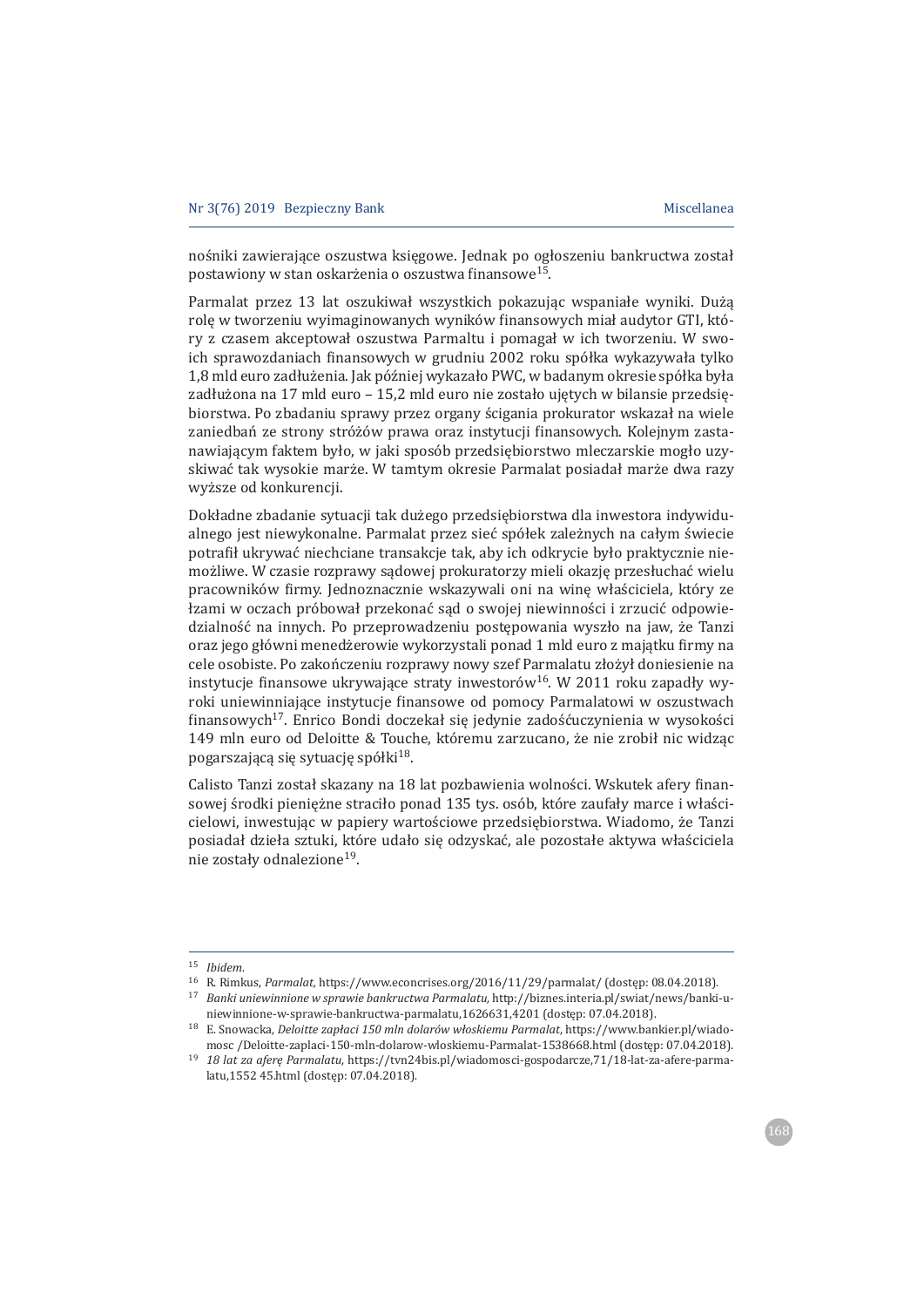nośniki zawierające oszustwa księgowe. Jednak po ogłoszeniu bankructwa został postawiony w stan oskarżenia o oszustwa finansowe<sup>15</sup>.

Parmalat przez 13 lat oszukiwał wszystkich pokazując wspaniałe wyniki. Dużą rolę w tworzeniu wyimaginowanych wyników finansowych miał audytor GTI, który z czasem akceptował oszustwa Parmaltu i pomagał w ich tworzeniu. W swoich sprawozdaniach finansowych w grudniu 2002 roku spółka wykazywała tylko 1,8 mld euro zadłużenia. Jak później wykazało PWC, w badanym okresie spółka była zadłużona na 17 mld euro - 15,2 mld euro nie zostało ujętych w bilansie przedsiębiorstwa. Po zbadaniu sprawy przez organy ścigania prokurator wskazał na wiele zaniedbań ze strony stróżów prawa oraz instytucji finansowych. Kolejnym zastanawiającym faktem było, w jaki sposób przedsiębiorstwo mleczarskie mogło uzyskiwać tak wysokie marże. W tamtym okresie Parmalat posiadał marże dwa razy wyższe od konkurencji.

Dokładne zbadanie sytuacji tak dużego przedsiębiorstwa dla inwestora indywidualnego jest niewykonalne. Parmalat przez sieć spółek zależnych na całym świecie potrafił ukrywać niechciane transakcje tak, aby ich odkrycie było praktycznie niemożliwe. W czasie rozprawy sadowej prokuratorzy mieli okazje przesłuchać wielu pracowników firmy. Jednoznacznie wskazywali oni na winę właściciela, który ze łzami w oczach próbował przekonać sąd o swojej niewinności i zrzucić odpowiedzialność na innych. Po przeprowadzeniu postepowania wyszło na jaw, że Tanzi oraz jego główni menedżerowie wykorzystali ponad 1 mld euro z majatku firmy na cele osobiste. Po zakończeniu rozprawy nowy szef Parmalatu złożył doniesienie na instytucje finansowe ukrywające straty inwestorów<sup>16</sup>. W 2011 roku zapadły wyroki uniewinniające instytucje finansowe od pomocy Parmalatowi w oszustwach finansowych<sup>17</sup>. Enrico Bondi doczekał się jedynie zadośćuczynienia w wysokości 149 mln euro od Deloitte & Touche, któremu zarzucano, że nie zrobił nic widząc pogarszającą się sytuację spółki<sup>18</sup>.

Calisto Tanzi został skazany na 18 lat pozbawienia wolności. Wskutek afery finansowej środki pieniężne straciło ponad 135 tys. osób, które zaufały marce i właścicielowi, inwestując w papiery wartościowe przedsiębiorstwa. Wiadomo, że Tanzi posiadał dzieła sztuki, które udało się odzyskać, ale pozostałe aktywa właściciela nie zostały odnalezione<sup>19</sup>.

 $15$  Ibidem.

<sup>&</sup>lt;sup>16</sup> R. Rimkus, Parmalat, https://www.econcrises.org/2016/11/29/parmalat/ (dostęp: 08.04.2018).

<sup>&</sup>lt;sup>17</sup> Banki uniewinnione w sprawie bankructwa Parmalatu, http://biznes.interia.pl/swiat/news/banki-uniewinnione-w-sprawie-bankructwa-parmalatu,1626631,4201 (dostęp: 07.04.2018).

<sup>18</sup> E. Snowacka, Deloitte zapłaci 150 mln dolarów włoskiemu Parmalat, https://www.bankier.pl/wiadomosc /Deloitte-zaplaci-150-mln-dolarow-wloskiemu-Parmalat-1538668.html (dostęp: 07.04.2018).

<sup>19 18</sup> lat za afere Parmalatu, https://tvn24bis.pl/wiadomosci-gospodarcze,71/18-lat-za-afere-parmalatu,1552 45.html (dostęp: 07.04.2018).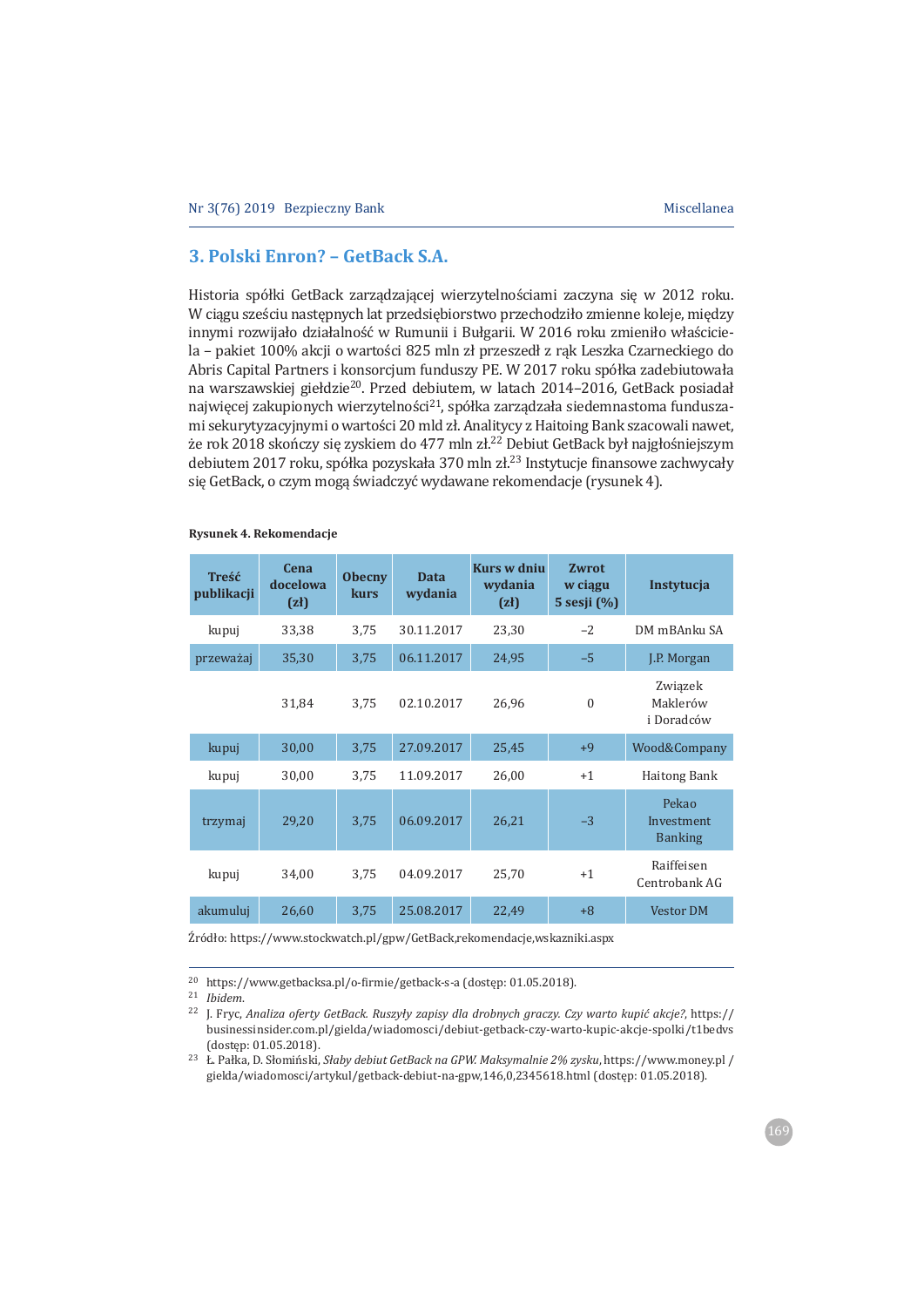# **3. Polski Enron? – GetBack S.A.**

Historia spółki GetBack zarządzającej wierzytelnościami zaczyna się w 2012 roku. W ciągu sześciu następnych lat przedsiębiorstwo przechodziło zmienne koleje, między innymi rozwijało działalność w Rumunii i Bułgarii. W 2016 roku zmieniło właściciela - pakiet 100% akcji o wartości 825 mln zł przeszedł z rąk Leszka Czarneckiego do Abris Capital Partners i konsorcium funduszy PE. W 2017 roku spółka zadebiutowała na warszawskiej giełdzie<sup>20</sup>. Przed debiutem, w latach 2014-2016, GetBack posiadał najwięcej zakupionych wierzytelności<sup>21</sup>, spółka zarządzała siedemnastoma funduszami sekurytyzacyjnymi o wartości 20 mld zł. Analitycy z Haitoing Bank szacowali nawet, że rok 2018 skończy się zyskiem do 477 mln zł.<sup>22</sup> Debiut GetBack był najgłośniejszym debiutem 2017 roku, spółka pozyskała 370 mln zł.<sup>23</sup> Instytucje finansowe zachwycały się GetBack, o czym mogą świadczyć wydawane rekomendacje (rysunek 4).

| Treść<br>publikacji | <b>Cena</b><br>docelowa<br>(zh) | <b>Obecny</b><br>kurs | Data<br>wydania | Kurs w dniu<br>wydania<br>(zh) | Zwrot<br>w ciagu<br>5 sesji (%) | Instytucja                            |
|---------------------|---------------------------------|-----------------------|-----------------|--------------------------------|---------------------------------|---------------------------------------|
| kupuj               | 33,38                           | 3,75                  | 30.11.2017      | 23,30                          | $-2$                            | DM mBAnku SA                          |
| przeważaj           | 35,30                           | 3,75                  | 06.11.2017      | 24,95                          | $-5$                            | J.P. Morgan                           |
|                     | 31.84                           | 3,75                  | 02.10.2017      | 26,96                          | $\theta$                        | Związek<br>Maklerów<br>i Doradców     |
| kupuj               | 30,00                           | 3,75                  | 27.09.2017      | 25,45                          | $+9$                            | Wood&Company                          |
| kupuj               | 30,00                           | 3,75                  | 11.09.2017      | 26,00                          | $+1$                            | <b>Haitong Bank</b>                   |
| trzymaj             | 29,20                           | 3,75                  | 06.09.2017      | 26,21                          | $-3$                            | Pekao<br>Investment<br><b>Banking</b> |
| kupuj               | 34,00                           | 3,75                  | 04.09.2017      | 25,70                          | $+1$                            | Raiffeisen<br>Centrobank AG           |
| akumuluj            | 26,60                           | 3,75                  | 25.08.2017      | 22.49                          | $+8$                            | <b>Vestor DM</b>                      |

#### **Rysunek 4. Rekomendacje**

Źródło: https://www.stockwatch.pl/gpw/GetBack,rekomendacje,wskazniki.aspx

<sup>&</sup>lt;sup>20</sup> https://www.getbacksa.pl/o-firmie/getback-s-a (dostęp: 01.05.2018).

<sup>&</sup>lt;sup>21</sup> *Ibidem* 

<sup>&</sup>lt;sup>22</sup> J. Fryc, Analiza oferty GetBack. Ruszyły zapisy dla drobnych graczy. Czy warto kupić akcje?, https:// businessinsider.com.pl/gielda/wiadomosci/debiut-getback-czy-warto-kupic-akcje-spolki/t1bedys (dostęp: 01.05.2018).

<sup>&</sup>lt;sup>23</sup> Ł. Pałka, D. Słomiński, Słaby debiut GetBack na GPW. Maksymalnie 2% zysku, https://www.money.pl / gielda/wiadomosci/artykul/getback-debiut-na-gpw,146,0,2345618.html (dostęp: 01.05.2018).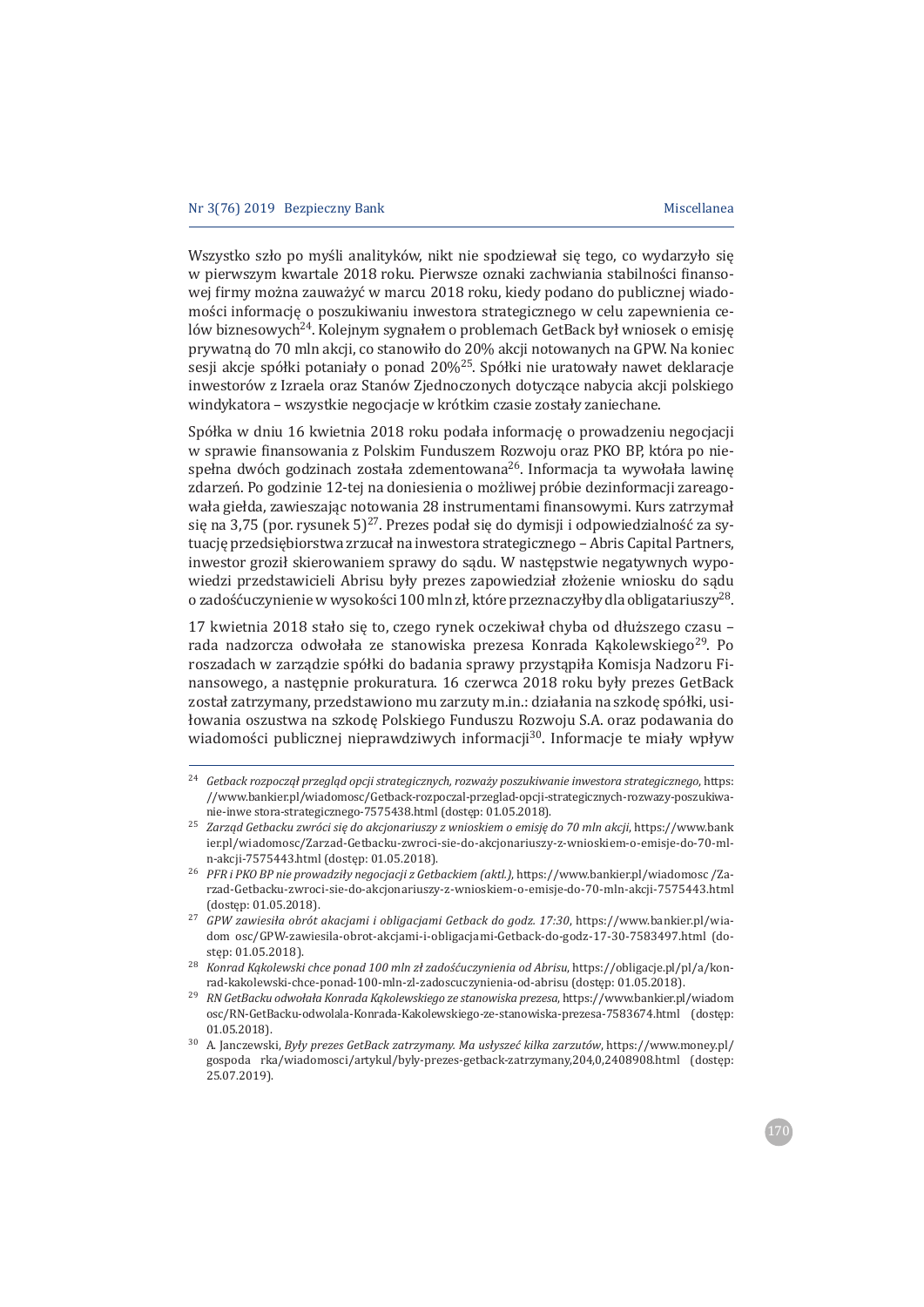Wszystko szło po myśli analityków, nikt nie spodziewał sie tego, co wydarzyło sie w pierwszym kwartale 2018 roku. Pierwsze oznaki zachwiania stabilności finansowej firmy można zauważyć w marcu 2018 roku, kiedy podano do publicznej wiadomości informację o poszukiwaniu inwestora strategicznego w celu zapewnienia celów biznesowych<sup>24</sup>. Kolejnym sygnałem o problemach GetBack był wniosek o emisję prywatną do 70 mln akcji, co stanowiło do 20% akcji notowanych na GPW. Na koniec sesji akcje spółki potaniały o ponad 20%<sup>25</sup>. Spółki nie uratowały nawet deklaracje inwestorów z Izraela oraz Stanów Zjednoczonych dotyczące nabycia akcji polskiego windykatora – wszystkie negocjącie w krótkim czasie zostały zaniechane.

Spółka w dniu 16 kwietnia 2018 roku podała informację o prowadzeniu negocjacji w sprawie finansowania z Polskim Funduszem Rozwoju oraz PKO BP, która po niespełna dwóch godzinach została zdementowana<sup>26</sup>. Informacja ta wywołała lawinę zdarzeń. Po godzinie 12-tej na doniesienia o możliwej próbie dezinformacji zareagowała giełda, zawieszając notowania 28 instrumentami finansowymi. Kurs zatrzymał się na 3,75 (por. rysunek 5)<sup>27</sup>. Prezes podał się do dymisji i odpowiedzialność za sytuację przedsiębiorstwa zrzucał na inwestora strategicznego - Abris Capital Partners, inwestor groził skierowaniem sprawy do sądu. W następstwie negatywnych wypowiedzi przedstawicieli Abrisu były prezes zapowiedział złożenie wniosku do sądu o zadośćuczynienie w wysokości 100 mln zł, które przeznaczyłby dla obligatariuszy<sup>28</sup>.

17 kwietnia 2018 stało się to, czego rynek oczekiwał chyba od dłuższego czasu rada nadzorcza odwołała ze stanowiska prezesa Konrada Kakolewskiego<sup>29</sup>. Po roszadach w zarządzie spółki do badania sprawy przystąpiła Komisja Nadzoru Finansowego, a następnie prokuratura. 16 czerwca 2018 roku były prezes GetBack został zatrzymany, przedstawiono mu zarzuty m.in.: działania na szkode spółki, usiłowania oszustwa na szkodę Polskiego Funduszu Rozwoju S.A. oraz podawania do wiadomości publicznej nieprawdziwych informacji<sup>30</sup>. Informacje te miały wpływ

<sup>&</sup>lt;sup>24</sup> Getback rozpoczął przegląd opcji strategicznych, rozważy poszukiwanie inwestora strategicznego, https: //www.bankier.pl/wiadomosc/Getback-rozpoczal-przeglad-opcji-strategicznych-rozwazy-poszukiwanie-inwe stora-strategicznego-7575438.html (dostęp: 01.05.2018).

<sup>&</sup>lt;sup>25</sup> Zarząd Getbacku zwróci się do akcjonariuszy z wnioskiem o emisję do 70 mln akcji, https://www.bank ier.pl/wiadomosc/Zarzad-Getbacku-zwroci-sie-do-akcjonariuszy-z-wnioskiem-o-emisje-do-70-mln-akcji-7575443.html (dostęp: 01.05.2018).

<sup>&</sup>lt;sup>26</sup> PFR i PKO BP nie prowadziły negocjacji z Getbackiem (aktl.), https://www.bankier.pl/wiadomosc/Zarzad-Getbacku-zwroci-sie-do-akcjonariuszy-z-wnioskiem-o-emisje-do-70-mln-akcji-7575443.html (dostęp: 01.05.2018).

<sup>&</sup>lt;sup>27</sup> *GPW zawiesiła obrót akacjami i obligacjami Getback do godz. 17:30*, https://www.bankier.pl/wiadom osc/GPW-zawiesila-obrot-akcjami-i-obligacjami-Getback-do-godz-17-30-7583497.html (dosten: 01.05.2018).

<sup>&</sup>lt;sup>28</sup> Konrad Kakolewski chce ponad 100 mln zł zadośćuczynienia od Abrisu, https://obligacie.pl/pl/a/konrad-kakolewski-chce-ponad-100-mln-zl-zadoscuczynienia-od-abrisu (dostęp: 01.05.2018).

<sup>&</sup>lt;sup>29</sup> *RN GetBacku odwołała Konrada Kakolewskiego ze stanowiska prezesa*, https://www.bankier.pl/wiadom osc/RN-GetBacku-odwolala-Konrada-Kakolewskiego-ze-stanowiska-prezesa-7583674.html (dostęp:  $01.05.2018$ 

<sup>&</sup>lt;sup>30</sup> A. Ianczewski, *Były prezes GetBack zatrzymany. Ma usłyszeć kilka zarzutów, https://www.money.pl/* gospoda rka/wiadomosci/artykul/byly-prezes-getback-zatrzymany,204,0,2408908.html (dostęp:  $25.07.2019$ .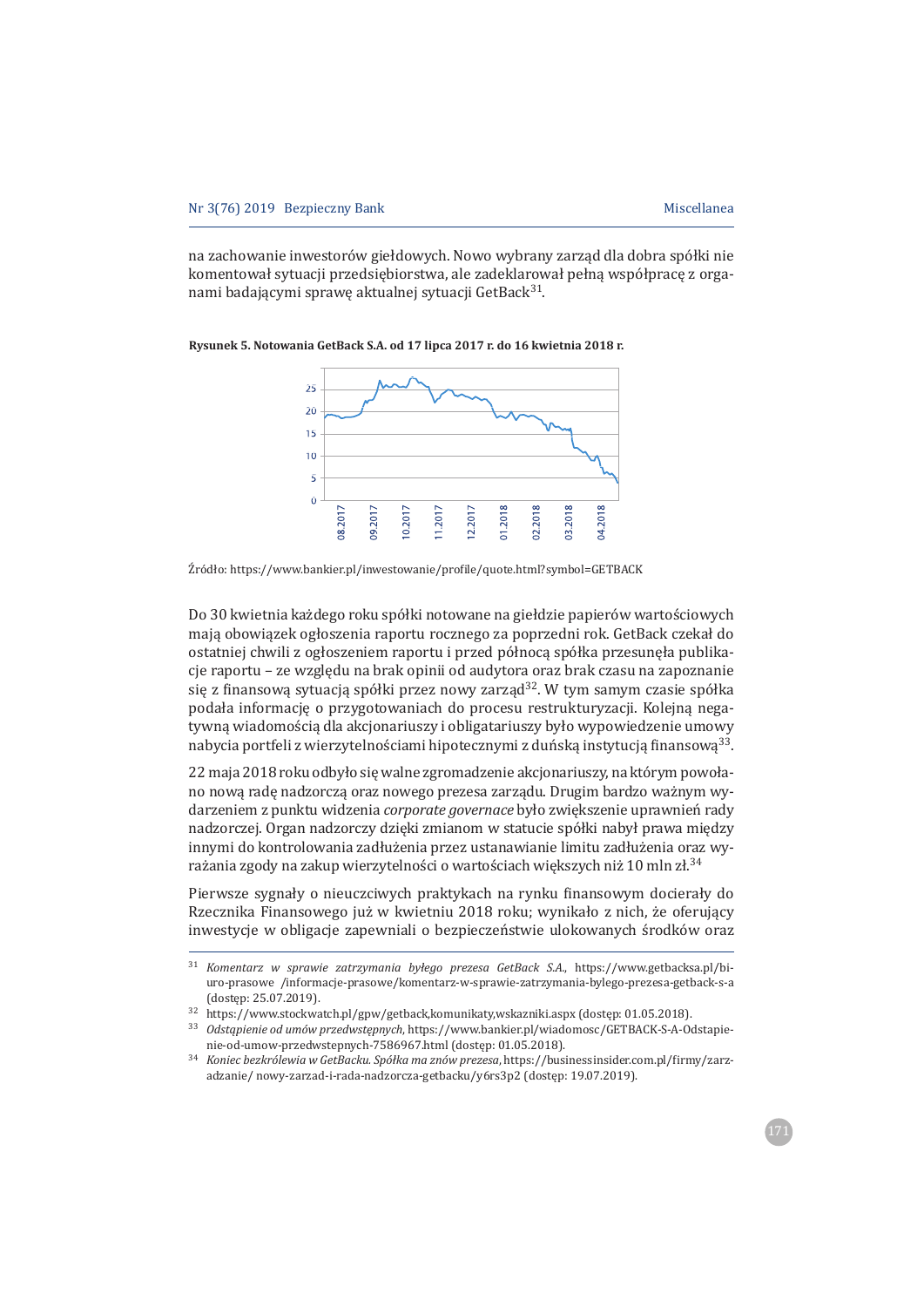na zachowanie inwestorów giełdowych. Nowo wybrany zarząd dla dobra spółki nie komentował sytuacji przedsiębiorstwa, ale zadeklarował pełna współprace z organami badającymi sprawę aktualnej sytuacji GetBack<sup>31</sup>.



**Rysunek 5. Notowania GetBack S.A. od 17 lipca 2017 r. do 16 kwietnia 2018 r.**

Żródło: https://www.bankier.pl/inwestowanie/profile/quote.html?symbol=GETBACK

Do 30 kwietnia każdego roku spółki notowane na giełdzie papierów wartościowych mają obowiązek ogłoszenia raportu rocznego za poprzedni rok. GetBack czekał do ostatniej chwili z ogłoszeniem raportu i przed północą spółka przesunęła publikacje raportu - ze wzgledu na brak opinii od audytora oraz brak czasu na zapoznanie się z finansową sytuacją spółki przez nowy zarząd<sup>32</sup>. W tym samym czasie spółka podała informacje o przygotowaniach do procesu restrukturyzacji. Kolejna negatywna wiadomościa dla akcjonariuszy i obligatariuszy było wypowiedzenie umowy nabycia portfeli z wierzytelnościami hipotecznymi z duńską instytucją finansową<sup>33</sup>.

22 maja 2018 roku odbyło się walne zgromadzenie akcjonariuszy, na którym powołano nowa rade nadzorcza oraz nowego prezesa zarzadu. Drugim bardzo ważnym wydarzeniem z punktu widzenia *corporate governace* było zwiekszenie uprawnień rady nadzorczej. Organ nadzorczy dzięki zmianom w statucie spółki nabył prawa między innymi do kontrolowania zadłużenia przez ustanawianie limitu zadłużenia oraz wyrażania zgody na zakup wierzytelności o wartościach większych niż 10 mln zł.<sup>34</sup>

Pierwsze sygnały o nieuczciwych praktykach na rynku finansowym docierały do Rzecznika Finansowego już w kwietniu 2018 roku; wynikało z nich, że oferujący inwestycje w obligacje zapewniali o bezpieczeństwie ulokowanych środków oraz

<sup>&</sup>lt;sup>31</sup> *Komentarz w sprawie zatrzymania byłego prezesa GetBack S.A.*, https://www.getbacksa.pl/biuro-prasowe /informacje-prasowe/komentarz-w-sprawie-zatrzymania-bylego-prezesa-getback-s-a (dostep: 25.07.2019).

<sup>32</sup> https://www.stockwatch.pl/gpw/getback,komunikaty,wskazniki.aspx (dostęp: 01.05.2018).

<sup>33</sup> Odstąpienie od umów przedwstępnych, https://www.bankier.pl/wiadomosc/GETBACK-S-A-Odstapienie-od-umow-przedwstepnych-7586967.html (dostęp: 01.05.2018).

<sup>&</sup>lt;sup>34</sup> Koniec bezkrólewia w GetBacku. Spółka ma znów prezesa, https://businessinsider.com.pl/firmy/zarzadzanie/nowy-zarzad-i-rada-nadzorcza-getbacku/y6rs3p2 (dostęp: 19.07.2019).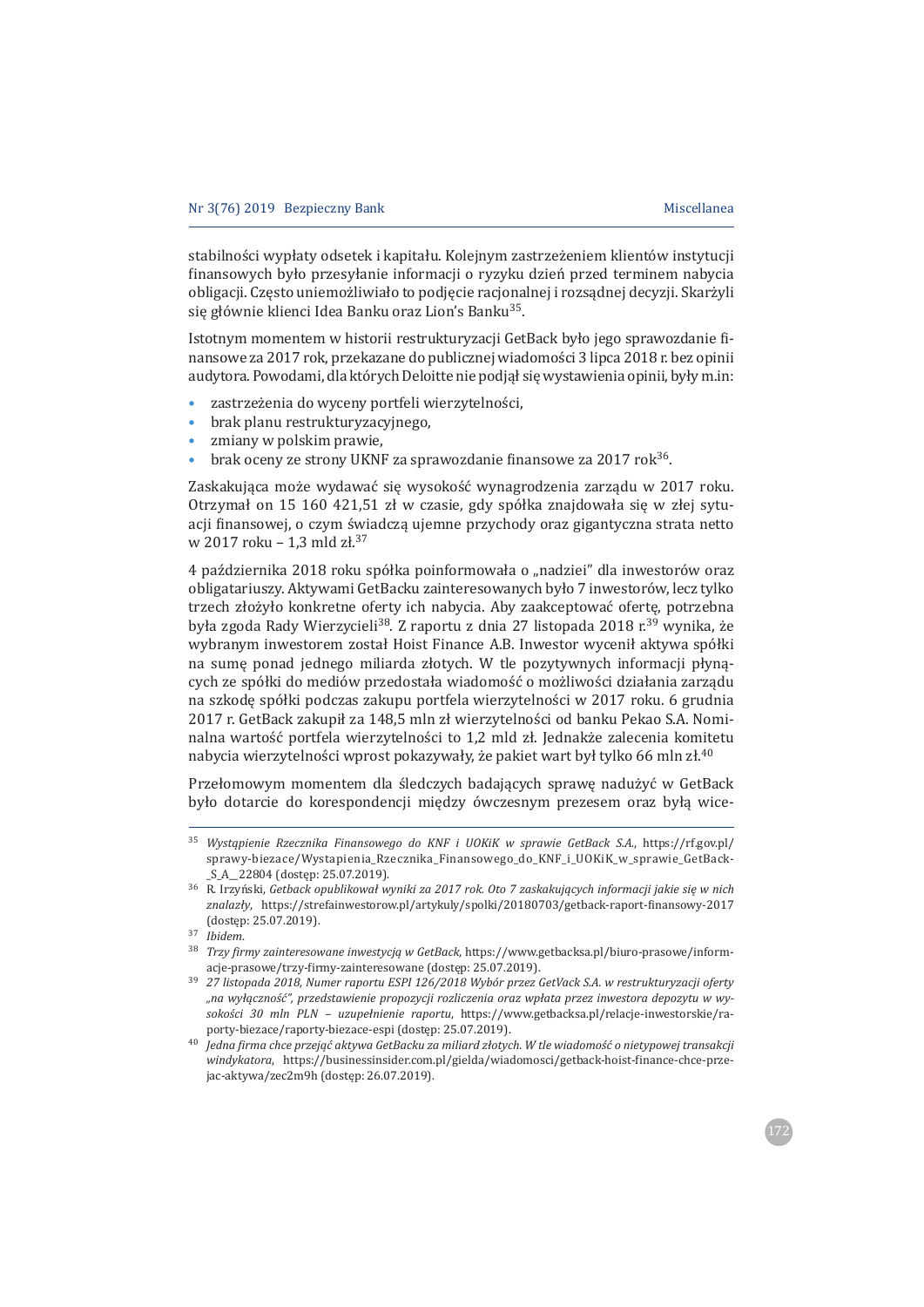stabilności wypłaty odsetek i kapitału. Kolejnym zastrzeżeniem klientów instytucji finansowych było przesyłanie informacji o ryzyku dzień przed terminem nabycia obligacji. Często uniemożliwiało to podjęcie racjonalnej i rozsądnej decyzji. Skarżyli się głównie klienci Idea Banku oraz Lion's Banku<sup>35</sup>.

Istotnym momentem w historii restrukturyzacji GetBack było jego sprawozdanie finansowe za 2017 rok, przekazane do publicznej wiadomości 3 lipca 2018 r. bez opinii audytora. Powodami, dla których Deloitte nie podjął się wystawienia opinii, były m.in:

- zastrzeżenia do wyceny portfeli wierzytelności,
- brak planu restrukturyzacyjnego,
- zmiany w polskim prawie.
- brak oceny ze strony UKNF za sprawozdanie finansowe za 2017 rok<sup>36</sup>.

Zaskakująca może wydawać się wysokość wynagrodzenia zarządu w 2017 roku. Otrzymał on 15 160 421,51 zł w czasie, gdy spółka znajdowała się w złej sytuacji finansowej, o czym świadczą ujemne przychody oraz gigantyczna strata netto w 2017 roku - 1,3 mld zł.<sup>37</sup>

4 października 2018 roku spółka poinformowała o "nadziei" dla inwestorów oraz obligatariuszy. Aktywami GetBacku zainteresowanych było 7 inwestorów, lecz tylko trzech złożyło konkretne oferty ich nabycia. Aby zaakceptować oferte, potrzebna była zgoda Rady Wierzycieli<sup>38</sup>. Z raportu z dnia 27 listopada 2018 r.<sup>39</sup> wynika, że wybranym inwestorem został Hoist Finance A.B. Inwestor wycenił aktywa spółki na sumę ponad jednego miliarda złotych. W tle pozytywnych informacji płynących ze spółki do mediów przedostała wiadomość o możliwości działania zarządu na szkode spółki podczas zakupu portfela wierzytelności w 2017 roku. 6 grudnia 2017 r. GetBack zakupił za 148,5 mln zł wierzytelności od banku Pekao S.A. Nominalna wartość portfela wierzytelności to 1,2 mld zł. Jednakże zalecenia komitetu nabycia wierzytelności wprost pokazywały, że pakiet wart był tylko 66 mln zł.<sup>40</sup>

Przełomowym momentem dla śledczych badających sprawę nadużyć w GetBack było dotarcie do korespondencji między ówczesnym prezesem oraz byłą wice-

<sup>&</sup>lt;sup>35</sup> *Wystąpienie Rzecznika Finansowego do KNF i UOKiK w sprawie GetBack S.A.*, https://rf.gov.pl/ sprawy-biezace/Wystapienia\_Rzecznika\_Finansowego\_do\_KNF\_i\_UOKiK\_w\_sprawie\_GetBack-S\_A\_22804 (dostęp: 25.07.2019).

<sup>͵</sup> ǤÑǡ*Getback opublikowaÏ wyniki za 2017 rok. Oto 7 zaskakuj¦cych informacji jakie si¸ w nich*  znalazły, https://strefainwestorow.pl/artykuly/spolki/20180703/getback-raport-finansowy-2017 (dosten: 25.07.2019).

<sup>37</sup> *Ibidem*.

<sup>&</sup>lt;sup>38</sup> *Trzy firmy zainteresowane inwestycją w GetBack*, https://www.getbacksa.pl/biuro-prasowe/informacje-prasowe/trzy-firmy-zainteresowane (dostep: 25.07.2019).

<sup>͵</sup>ͻ *27 listopada 2018, Numer raportu ESPI 126/2018 Wybór przez GetVack S.A. w restrukturyzacji oferty "na wyϦcznoä©", przedstawienie propozycji rozliczenia oraz wpÏata przez inwestora depozytu w wy* $sokości$  30 mln PLN – uzupełnienie raportu, https://www.getbacksa.pl/relacje-inwestorskie/raporty-biezace/raporty-biezace-espi (dostep: 25.07.2019).

ͶͲ *Jedna ϔirma chce przej¦© aktywa GetBacku za miliard zÏotych. W tle wiadomoä© o nietypowej transakcji*  windykatora, https://businessinsider.com.pl/gielda/wiadomosci/getback-hoist-finance-chce-przejac-aktywa/zec2m9h (dostęp: 26.07.2019).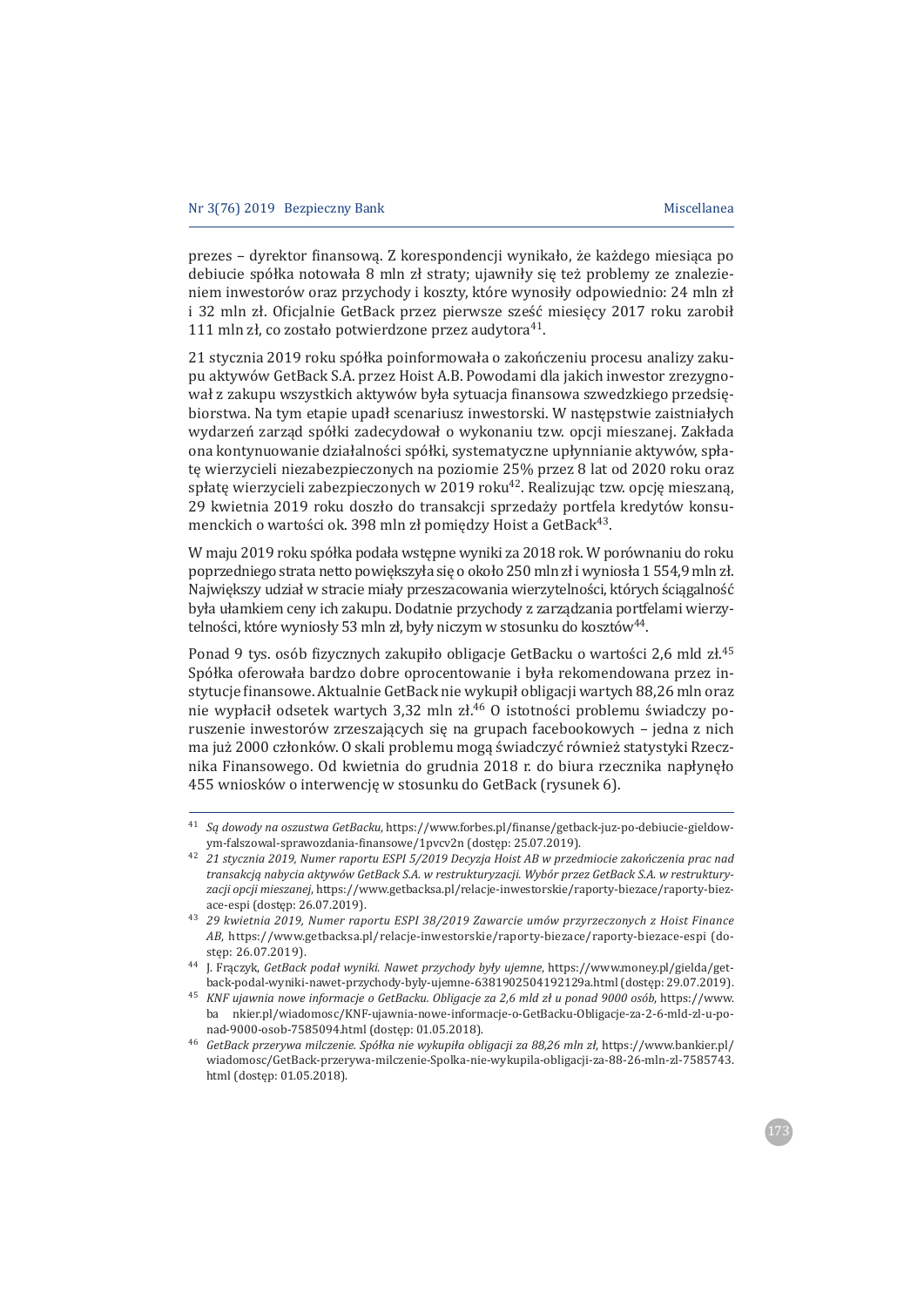prezes – dyrektor finansową. Z korespondencji wynikało, że każdego miesiąca po debiucie spółka notowała 8 mln zł straty; ujawniły się też problemy ze znalezieniem inwestorów oraz przychody i koszty, które wynosiły odpowiednio: 24 mln zł i 32 mln zł. Oficjalnie GetBack przez pierwsze sześć miesięcy 2017 roku zarobił 111 mln zł, co zostało potwierdzone przez audytora<sup>41</sup>.

21 stycznia 2019 roku spółka poinformowała o zakończeniu procesu analizy zakupu aktywów GetBack S.A. przez Hoist A.B. Powodami dla jakich inwestor zrezygnował z zakupu wszystkich aktywów była sytuacja finansowa szwedzkiego przedsiębiorstwa. Na tym etapie upadł scenariusz inwestorski. W następstwie zaistniałych wydarzeń zarząd spółki zadecydował o wykonaniu tzw. opcji mieszanej. Zakłada ona kontynuowanie działalności spółki, systematyczne upłynnianie aktywów, spłate wierzycieli niezabezpieczonych na poziomie 25% przez 8 lat od 2020 roku oraz spłatę wierzycieli zabezpieczonych w 2019 roku<sup>42</sup>. Realizując tzw. opcję mieszaną, 29 kwietnia 2019 roku doszło do transakcji sprzedaży portfela kredytów konsumenckich o wartości ok. 398 mln zł pomiędzy Hoist a GetBack<sup>43</sup>.

W maju 2019 roku spółka podała wstępne wyniki za 2018 rok. W porównaniu do roku poprzedniego strata netto powiekszyła się o około 250 mln zł i wyniosła 1 554,9 mln zł. Największy udział w stracie miały przeszacowania wierzytelności, których ściągalność była ułamkiem ceny ich zakupu. Dodatnie przychody z zarządzania portfelami wierzytelności, które wyniosły 53 mln zł, były niczym w stosunku do kosztów<sup>44</sup>.

Ponad 9 tys. osób fizycznych zakupiło obligacje GetBacku o wartości 2,6 mld zł.<sup>45</sup> Spółka oferowała bardzo dobre oprocentowanie i była rekomendowana przez instytucje finansowe. Aktualnie GetBack nie wykupił obligacji wartych 88,26 mln oraz nie wypłacił odsetek wartych 3,32 mln zł.<sup>46</sup> O istotności problemu świadczy poruszenie inwestorów zrzeszających się na grupach facebookowych - jedna z nich ma już 2000 członków. O skali problemu mogą świadczyć również statystyki Rzecznika Finansowego. Od kwietnia do grudnia 2018 r. do biura rzecznika napłynęło 455 wniosków o interwencję w stosunku do GetBack (rysunek 6).

<sup>&</sup>lt;sup>41</sup> *Sq dowody na oszustwa GetBacku*, https://www.forbes.pl/finanse/getback-juz-po-debiucie-gieldowym-falszowal-sprawozdania-finansowe/1pvcv2n (dostęp: 25.07.2019).

Ͷʹ *21 stycznia 2019, Numer raportu ESPI 5/2019 Decyzja Hoist AB w przedmiocie zakoÑczenia prac nad transakcj¦ nabycia aktywów GetBack S.A. w restrukturyzacji. Wybór przez GetBack S.A. w restruktury*zacji opcji mieszanej, https://www.getbacksa.pl/relacje-inwestorskie/raporty-biezace/raporty-biezace-espi (dostęp: 26.07.2019).

Ͷ͵ *29 kwietnia 2019, Numer raportu ESPI 38/2019 Zawarcie umów przyrzeczonych z Hoist Finance AB*, https://www.getbacksa.pl/relacje-inwestorskie/raporty-biezace/raporty-biezace-espi (dostep: 26.07.2019).

<sup>&</sup>lt;sup>44</sup> I. Fraczyk, GetBack podał wyniki. Nawet przychody były ujemne, https://www.money.pl/gielda/getback-podal-wyniki-nawet-przychody-byly-ujemne-6381902504192129a.html (dostęp: 29.07.2019).

<sup>&</sup>lt;sup>45</sup> KNF ujawnia nowe informacje o GetBacku. Obligacje za 2,6 mld zł u ponad 9000 osób, https://www. ba nkier.pl/wiadomosc/KNF-ujawnia-nowe-informacje-o-GetBacku-Obligacje-za-2-6-mld-zl-u-ponad-9000-osob-7585094.html (dostep: 01.05.2018).

<sup>&</sup>lt;sup>46</sup> GetBack przerywa milczenie. Spółka nie wykupiła obligacji za 88,26 mln zł, https://www.bankier.pl/ wiadomosc/GetBack-przerywa-milczenie-Spolka-nie-wykupila-obligacji-za-88-26-mln-zl-7585743. html (dostęp: 01.05.2018).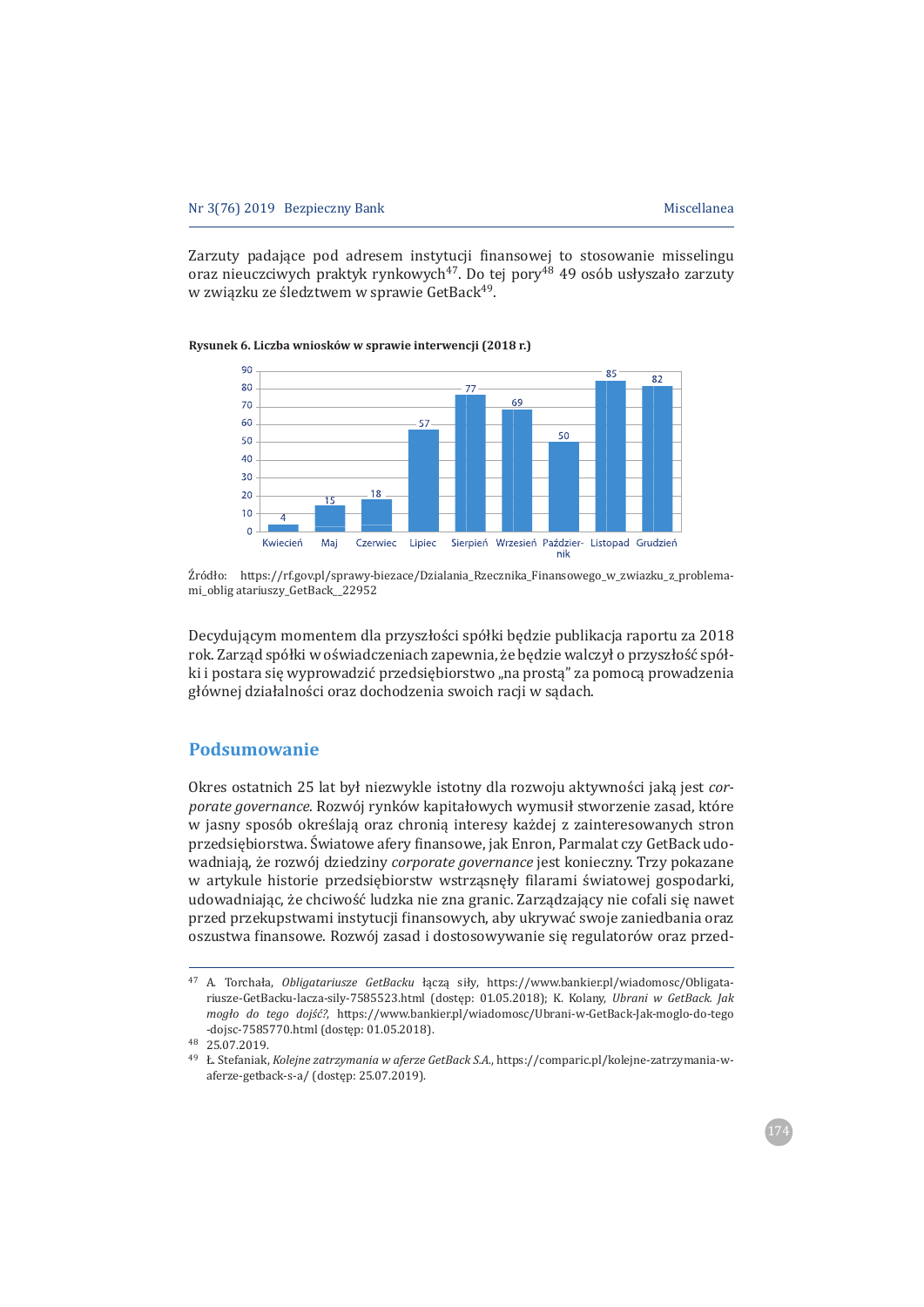Zarzuty padające pod adresem instytucji finansowej to stosowanie misselingu oraz nieuczciwych praktyk rynkowych<sup>47</sup>. Do tei pory<sup>48</sup> 49 osób usłyszało zarzuty w związku ze śledztwem w sprawie GetBack<sup>49</sup>.

# **Rysunek 6. Liczba wniosków w sprawie interwencji (2018 r.)**



Źródło: https://rf.gov.pl/sprawy-biezace/Dzialania Rzecznika Finansowego w zwiazku z problemami\_oblig atariuszy\_GetBack\_22952

Decydującym momentem dla przyszłości spółki bedzie publikacja raportu za 2018 rok. Zarząd spółki w oświadczeniach zapewnia, że będzie walczył o przyszłość spółki i postara sie wyprowadzić przedsiębiorstwo "na prosta" za pomoca prowadzenia głównej działalności oraz dochodzenia swoich racji w sądach.

## **Podsumowanie**

Okres ostatnich 25 lat był niezwykle istotny dla rozwoju aktywności jaką jest cor*porate governance.* Rozwój rynków kapitałowych wymusił stworzenie zasad, które w jasny sposób określają oraz chronią interesy każdej z zainteresowanych stron przedsiębiorstwa. Światowe afery finansowe, jak Enron, Parmalat czy GetBack udowadniają, że rozwój dziedziny *corporate governance* jest konieczny. Trzy pokazane w artykule historie przedsiebiorstw wstrzasneły filarami światowej gospodarki. udowadniając, że chciwość ludzka nie zna granic. Zarządzający nie cofali się nawet przed przekupstwami instytucji finansowych, aby ukrywać swoje zaniedbania oraz oszustwa finansowe. Rozwój zasad i dostosowywanie się regulatorów oraz przed-

<sup>&</sup>lt;sup>47</sup> A. Torchała, Obligatariusze GetBacku łączą siły, https://www.bankier.pl/wiadomosc/Obligatariusze-GetBacku-lacza-sily-7585523.html (dostęp: 01.05.2018); K. Kolany, Ubrani w GetBack. Jak *mogło do tego dojść?*, https://www.bankier.pl/wiadomosc/Ubrani-w-GetBack-Jak-moglo-do-tego -doisc-7585770.html (dostep: 01.05.2018).

 $48$  25.07.2019.

<sup>&</sup>lt;sup>49</sup> Ł. Stefaniak, Kolejne zatrzymania w aferze GetBack S.A., https://comparic.pl/kolejne-zatrzymania-waferze-getback-s-a/ (dostęp: 25.07.2019).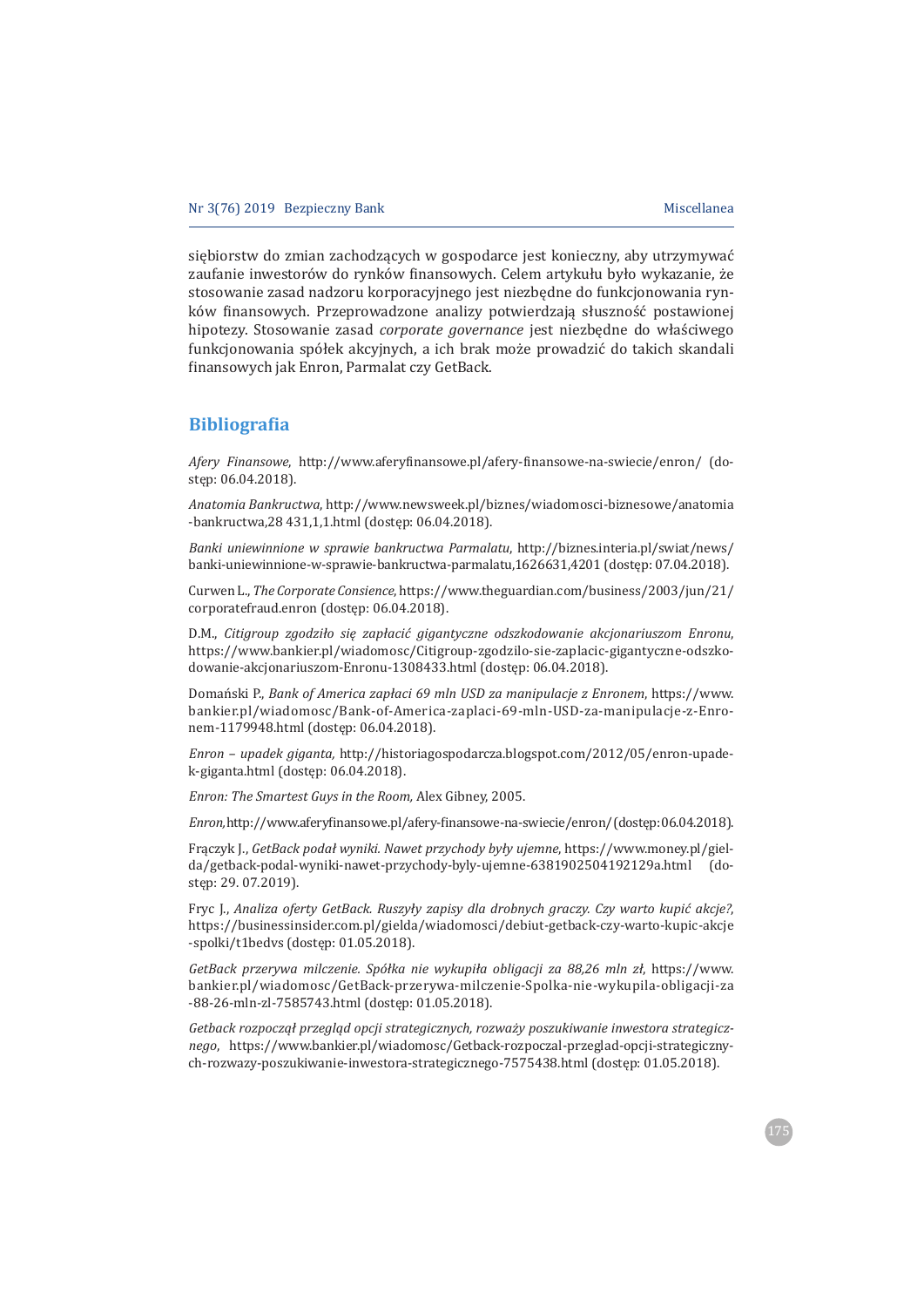siębiorstw do zmian zachodzących w gospodarce jest konieczny, aby utrzymywać zaufanie inwestorów do rynków finansowych. Celem artykułu było wykazanie, że stosowanie zasad nadzoru korporacyjnego jest niezbędne do funkcjonowania rynków finansowych. Przeprowadzone analizy potwierdzają słuszność postawionej hipotezy. Stosowanie zasad corporate governance jest niezbędne do właściwego funkcjonowania spółek akcyjnych, a ich brak może prowadzić do takich skandali finansowych jak Enron, Parmalat czy GetBack.

# **Bibliograϐia**

*Afery Finansowe*, http://www.aferyfinansowe.pl/afery-finansowe-na-swiecie/enron/ (dostęp: 06.04.2018).

*Anatomia Bankructwa*, http://www.newsweek.pl/biznes/wiadomosci-biznesowe/anatomia -bankructwa, 28 431, 1, 1.html (dostęp: 06.04.2018).

*Banki uniewinnione w sprawie bankructwa Parmalatu*, http://biznes.interia.pl/swiat/news/ banki-uniewinnione-w-sprawie-bankructwa-parmalatu,1626631,4201 (dostęp: 07.04.2018).

Curwen L., The Corporate Consience, https://www.theguardian.com/business/2003/jun/21/ corporatefraud.enron (dostęp: 06.04.2018).

D.M., Citigroup zgodziło się zapłacić gigantyczne odszkodowanie akcjonariuszom Enronu, https://www.bankier.pl/wiadomosc/Citigroup-zgodzilo-sie-zaplacic-gigantyczne-odszkodowanie-akcjonariuszom-Enronu-1308433.html (dostęp: 06.04.2018).

Domański P., Bank of America zapłaci 69 mln USD za manipulacje z Enronem, https://www. bankier.pl/wiadomosc/Bank-of-America-zaplaci-69-mln-USD-za-manipulacje-z-Enronem-1179948.html (dostęp: 06.04.2018).

*Enron – upadek giganta, http://historiagospodarcza.blogspot.com/2012/05/enron-upade*k-giganta.html (dostęp: 06.04.2018).

*Enron: The Smartest Guys in the Room, Alex Gibney, 2005.* 

*Enron, http://www.aferyfinansowe.pl/afery-finansowe-na-swiecie/enron/(dostęp:06.04.2018).* 

 $Fraczyk$  *[, GetBack podał wyniki. Nawet przychody były ujemne, https://www.money.pl/giel*da/getback-podal-wyniki-nawet-przychody-byly-ujemne-6381902504192129a.html (dostep: 29.07.2019).

 
Ǥǡ*Analiza oferty GetBack. RuszyÏy zapisy dla drobnych graczy. Czy warto kupi© akcje?*ǡ https://businessinsider.com.pl/gielda/wiadomosci/debiut-getback-czy-warto-kupic-akcje -spolki/t1bedvs (dostęp: 01.05.2018).

*GetBack przerywa milczenie. SpóÏka nie wykupiÏa obligacji za 88,26 mln zÏ*ǡ ǣȀȀǤ bankier.pl/wiadomosc/GetBack-przerywa-milczenie-Spolka-nie-wykupila-obligacji-za -88-26-mln-zl-7585743.html (dostęp: 01.05.2018).

*Getback rozpocz¦Ï przegl¦d opcji strategicznych, rozwaĂy poszukiwanie inwestora strategicz*nego, https://www.bankier.pl/wiadomosc/Getback-rozpoczal-przeglad-opcji-strategicznych-rozwazy-poszukiwanie-inwestora-strategicznego-7575438.html (dostep: 01.05.2018).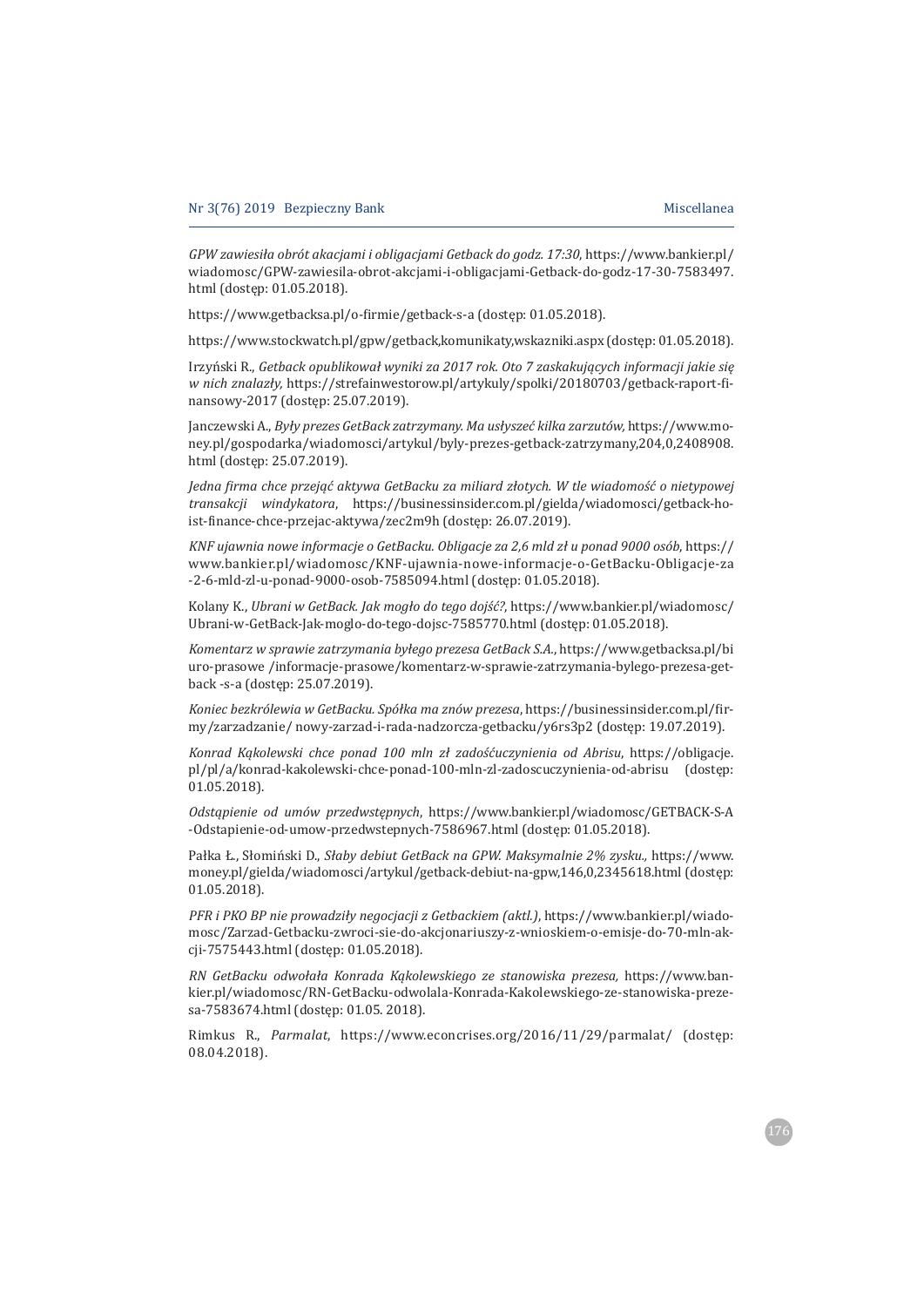*GPW zawiesiÏa obrót akacjami i obligacjami Getback do godz. 17:30*ǡǣȀȀǤǤȀ wiadomosc/GPW-zawiesila-obrot-akcjami-i-obligacjami-Getback-do-godz-17-30-7583497. html (dostęp: 01.05.2018).

https://www.getbacksa.pl/o-firmie/getback-s-a (dostęp: 01.05.2018).

https://www.stockwatch.pl/gpw/getback,komunikaty,wskazniki.aspx (dostęp: 01.05.2018).

ÑǤǡ*Getback opublikowaÏ wyniki za 2017 rok. Oto 7 zaskakuj¦cych informacji jakie si¸ w nich znalazły,* https://strefainwestorow.pl/artykuly/spolki/20180703/getback-raport-finansowy-2017 (dostęp: 25.07.2019).

*[anczewski Α., Były prezes GetBack zatrzymany. Ma usłyszeć kilka zarzutów, https://www.mo*ney.pl/gospodarka/wiadomosci/artykul/byly-prezes-getback-zatrzymany,204,0,2408908. html (dostęp: 25.07.2019).

*Jedna ϔirma chce przej¦© aktywa GetBacku za miliard zÏotych. W tle wiadomoä© o nietypowej transakcji windykatora*, https://businessinsider.com.pl/gielda/wiadomosci/getback-hoist-finance-chce-przejac-aktywa/zec2m9h (dostęp: 26.07.2019).

*KNF ujawnia nowe informacje o GetBacku. Obligacje za 2,6 mld zł u ponad 9000 osób*, https:// www.bankier.pl/wiadomosc/KNF-ujawnia-nowe-informacje-o-GetBacku-Obligacje-za -2-6-mld-zl-u-ponad-9000-osob-7585094.html (dostep: 01.05.2018).

Kolany K., Ubrani w GetBack. Jak mogło do tego dojść?, https://www.bankier.pl/wiadomosc/ Ubrani-w-GetBack-Jak-moglo-do-tego-dojsc-7585770.html (dostęp: 01.05.2018).

*Komentarz w sprawie zatrzymania byłego prezesa GetBack S.A.*, https://www.getbacksa.pl/bi uro-prasowe /informacje-prasowe/komentarz-w-sprawie-zatrzymania-bylego-prezesa-getback -s-a (dostęp: 25.07.2019).

*Koniec bezkrólewia w GetBacku. Spółka ma znów prezesa*, https://businessinsider.com.pl/firmy/zarzadzanie/nowy-zarzad-i-rada-nadzorcza-getbacku/y6rs3p2 (dostep: 19.07.2019).

*Konrad Kąkolewski chce ponad 100 mln zł zadośćuczynienia od Abrisu, https://obligacje.* pl/pl/a/konrad-kakolewski-chce-ponad-100-mln-zl-zadoscuczynienia-od-abrisu (dostęp:  $01.05.2018$ ).

 $O$ *dstąpienie od umów przedwstępnych*, https://www.bankier.pl/wiadomosc/GETBACK-S-A -Odstapienie-od-umow-przedwstepnych-7586967.html (dostep: 01.05.2018).

Pałka Ł., Słomiński D., Słaby debiut GetBack na GPW. Maksymalnie 2% zysku., https://www. money.pl/gielda/wiadomosci/artykul/getback-debiut-na-gpw,146,0,2345618.html (dostęp:  $01.05.2018$ 

*PFR i PKO BP nie prowadziły negocjacji z Getbackiem (aktl.)*, https://www.bankier.pl/wiadomosc/Zarzad-Getbacku-zwroci-sie-do-akcjonariuszy-z-wnioskiem-o-emisje-do-70-mln-akcji-7575443.html (dostep: 01.05.2018).

 $RN$  GetBacku odwołała Konrada Kąkolewskiego ze stanowiska prezesa, https://www.bankier.pl/wiadomosc/RN-GetBacku-odwolala-Konrada-Kakolewskiego-ze-stanowiska-prezesa-7583674.html (dostęp: 01.05. 2018).

Rimkus R., *Parmalat*, https://www.econcrises.org/2016/11/29/parmalat/ (dostęp:  $08.04.2018$ ).